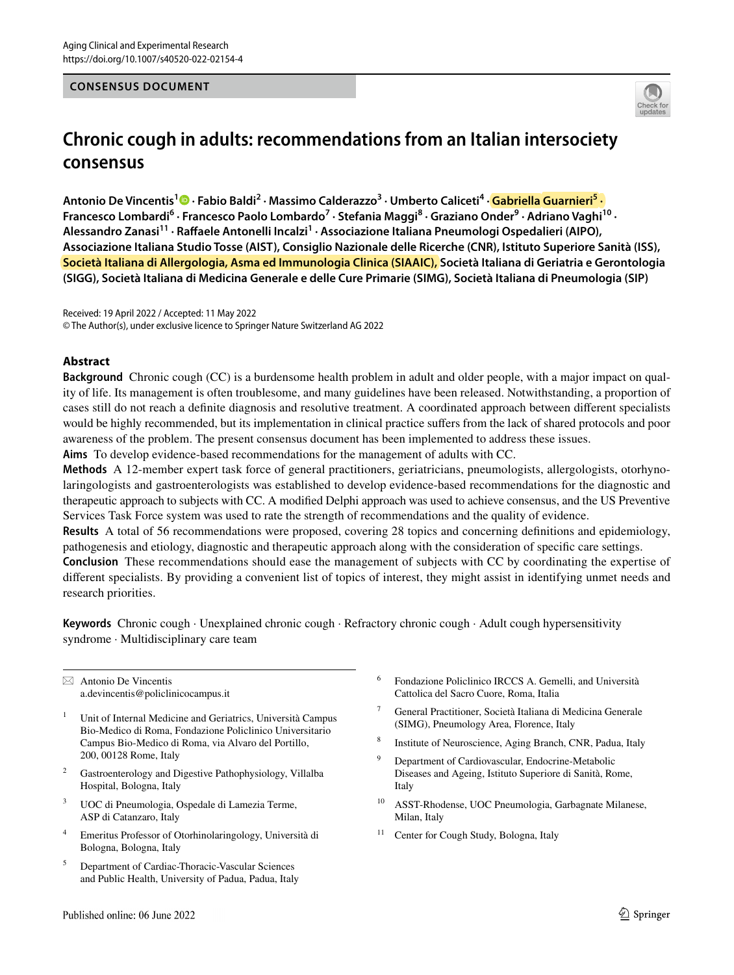### **CONSENSUS DOCUMENT**



# **Chronic cough in adults: recommendations from an Italian intersociety consensus**

Antonio De Vincentis<sup>1</sup> D [·](http://orcid.org/0000-0003-0220-0500) Fabio Baldi<sup>2</sup> · Massimo Calderazzo<sup>3</sup> · Umberto Caliceti<sup>4</sup> · <mark>Gabriella Guarnieri<sup>5</sup> ·</mark> **Francesco Lombardi6 · Francesco Paolo Lombardo7 · Stefania Maggi8 · Graziano Onder9 · Adriano Vaghi10 ·**  Alessandro Zanasi<sup>11</sup> · Raffaele Antonelli Incalzi<sup>1</sup> · Associazione Italiana Pneumologi Ospedalieri (AIPO), **Associazione Italiana Studio Tosse (AIST), Consiglio Nazionale delle Ricerche (CNR), Istituto Superiore Sanità (ISS), Società Italiana di Allergologia, Asma ed Immunologia Clinica (SIAAIC), Società Italiana di Geriatria e Gerontologia (SIGG), Società Italiana di Medicina Generale e delle Cure Primarie (SIMG), Società Italiana di Pneumologia (SIP)**

Received: 19 April 2022 / Accepted: 11 May 2022 © The Author(s), under exclusive licence to Springer Nature Switzerland AG 2022

### **Abstract**

**Background** Chronic cough (CC) is a burdensome health problem in adult and older people, with a major impact on quality of life. Its management is often troublesome, and many guidelines have been released. Notwithstanding, a proportion of cases still do not reach a defnite diagnosis and resolutive treatment. A coordinated approach between diferent specialists would be highly recommended, but its implementation in clinical practice sufers from the lack of shared protocols and poor awareness of the problem. The present consensus document has been implemented to address these issues.

**Aims** To develop evidence-based recommendations for the management of adults with CC.

**Methods** A 12-member expert task force of general practitioners, geriatricians, pneumologists, allergologists, otorhynolaringologists and gastroenterologists was established to develop evidence-based recommendations for the diagnostic and therapeutic approach to subjects with CC. A modifed Delphi approach was used to achieve consensus, and the US Preventive Services Task Force system was used to rate the strength of recommendations and the quality of evidence.

**Results** A total of 56 recommendations were proposed, covering 28 topics and concerning defnitions and epidemiology, pathogenesis and etiology, diagnostic and therapeutic approach along with the consideration of specifc care settings.

**Conclusion** These recommendations should ease the management of subjects with CC by coordinating the expertise of diferent specialists. By providing a convenient list of topics of interest, they might assist in identifying unmet needs and research priorities.

**Keywords** Chronic cough · Unexplained chronic cough · Refractory chronic cough · Adult cough hypersensitivity syndrome · Multidisciplinary care team

 $\boxtimes$  Antonio De Vincentis a.devincentis@policlinicocampus.it

- <sup>1</sup> Unit of Internal Medicine and Geriatrics, Università Campus Bio-Medico di Roma, Fondazione Policlinico Universitario Campus Bio-Medico di Roma, via Alvaro del Portillo, 200, 00128 Rome, Italy
- Gastroenterology and Digestive Pathophysiology, Villalba Hospital, Bologna, Italy
- <sup>3</sup> UOC di Pneumologia, Ospedale di Lamezia Terme, ASP di Catanzaro, Italy
- <sup>4</sup> Emeritus Professor of Otorhinolaringology, Università di Bologna, Bologna, Italy
- <sup>5</sup> Department of Cardiac-Thoracic-Vascular Sciences and Public Health, University of Padua, Padua, Italy
- <sup>6</sup> Fondazione Policlinico IRCCS A. Gemelli, and Università Cattolica del Sacro Cuore, Roma, Italia
- <sup>7</sup> General Practitioner, Società Italiana di Medicina Generale (SIMG), Pneumology Area, Florence, Italy
- Institute of Neuroscience, Aging Branch, CNR, Padua, Italy
- Department of Cardiovascular, Endocrine-Metabolic Diseases and Ageing, Istituto Superiore di Sanità, Rome, Italy
- <sup>10</sup> ASST-Rhodense, UOC Pneumologia, Garbagnate Milanese, Milan, Italy
- <sup>11</sup> Center for Cough Study, Bologna, Italy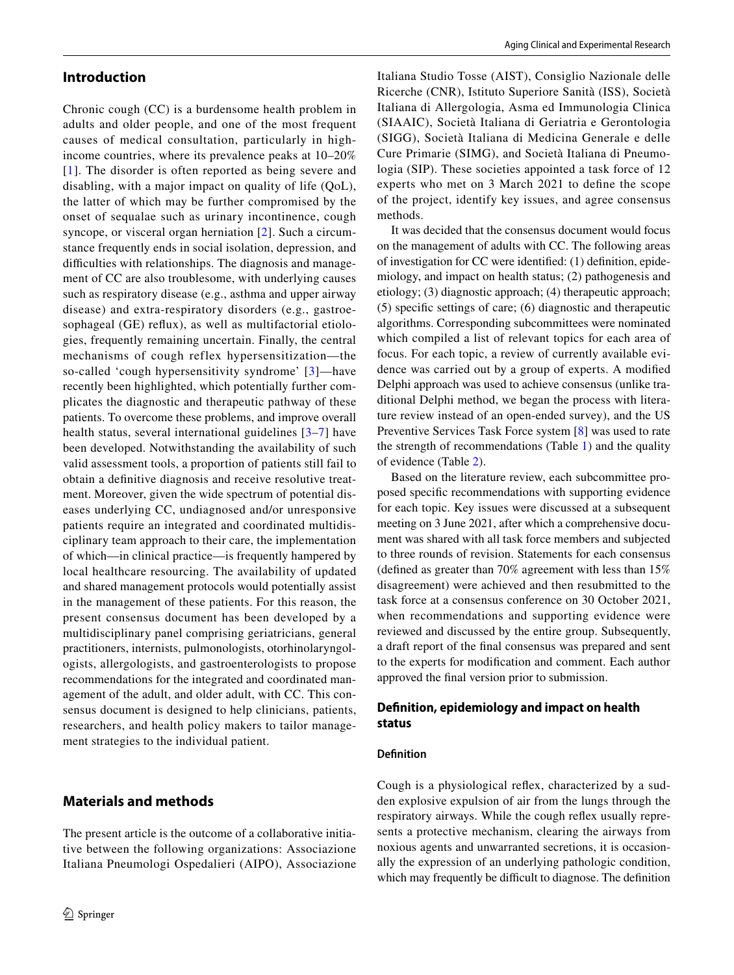# **Introduction**

Chronic cough (CC) is a burdensome health problem in adults and older people, and one of the most frequent causes of medical consultation, particularly in highincome countries, where its prevalence peaks at 10–20% [[1\]](#page-19-0). The disorder is often reported as being severe and disabling, with a major impact on quality of life (QoL), the latter of which may be further compromised by the onset of sequalae such as urinary incontinence, cough syncope, or visceral organ herniation [\[2](#page-19-1)]. Such a circumstance frequently ends in social isolation, depression, and difficulties with relationships. The diagnosis and management of CC are also troublesome, with underlying causes such as respiratory disease (e.g., asthma and upper airway disease) and extra-respiratory disorders (e.g., gastroesophageal (GE) reflux), as well as multifactorial etiologies, frequently remaining uncertain. Finally, the central mechanisms of cough reflex hypersensitization—the so-called 'cough hypersensitivity syndrome' [[3\]](#page-19-2)—have recently been highlighted, which potentially further complicates the diagnostic and therapeutic pathway of these patients. To overcome these problems, and improve overall health status, several international guidelines [[3](#page-19-2)[–7\]](#page-19-3) have been developed. Notwithstanding the availability of such valid assessment tools, a proportion of patients still fail to obtain a defnitive diagnosis and receive resolutive treatment. Moreover, given the wide spectrum of potential diseases underlying CC, undiagnosed and/or unresponsive patients require an integrated and coordinated multidisciplinary team approach to their care, the implementation of which—in clinical practice—is frequently hampered by local healthcare resourcing. The availability of updated and shared management protocols would potentially assist in the management of these patients. For this reason, the present consensus document has been developed by a multidisciplinary panel comprising geriatricians, general practitioners, internists, pulmonologists, otorhinolaryngologists, allergologists, and gastroenterologists to propose recommendations for the integrated and coordinated management of the adult, and older adult, with CC. This consensus document is designed to help clinicians, patients, researchers, and health policy makers to tailor management strategies to the individual patient.

# **Materials and methods**

The present article is the outcome of a collaborative initiative between the following organizations: Associazione Italiana Pneumologi Ospedalieri (AIPO), Associazione Italiana Studio Tosse (AIST), Consiglio Nazionale delle Ricerche (CNR), Istituto Superiore Sanità (ISS), Società Italiana di Allergologia, Asma ed Immunologia Clinica (SIAAIC), Società Italiana di Geriatria e Gerontologia (SIGG), Società Italiana di Medicina Generale e delle Cure Primarie (SIMG), and Società Italiana di Pneumologia (SIP). These societies appointed a task force of 12 experts who met on 3 March 2021 to defne the scope of the project, identify key issues, and agree consensus methods.

It was decided that the consensus document would focus on the management of adults with CC. The following areas of investigation for CC were identifed: (1) defnition, epidemiology, and impact on health status; (2) pathogenesis and etiology; (3) diagnostic approach; (4) therapeutic approach; (5) specifc settings of care; (6) diagnostic and therapeutic algorithms. Corresponding subcommittees were nominated which compiled a list of relevant topics for each area of focus. For each topic, a review of currently available evidence was carried out by a group of experts. A modifed Delphi approach was used to achieve consensus (unlike traditional Delphi method, we began the process with literature review instead of an open-ended survey), and the US Preventive Services Task Force system [[8](#page-19-4)] was used to rate the strength of recommendations (Table [1](#page-2-0)) and the quality of evidence (Table [2\)](#page-2-1).

Based on the literature review, each subcommittee proposed specifc recommendations with supporting evidence for each topic. Key issues were discussed at a subsequent meeting on 3 June 2021, after which a comprehensive document was shared with all task force members and subjected to three rounds of revision. Statements for each consensus (defned as greater than 70% agreement with less than 15% disagreement) were achieved and then resubmitted to the task force at a consensus conference on 30 October 2021, when recommendations and supporting evidence were reviewed and discussed by the entire group. Subsequently, a draft report of the fnal consensus was prepared and sent to the experts for modifcation and comment. Each author approved the fnal version prior to submission.

### **Defnition, epidemiology and impact on health status**

#### **Defnition**

Cough is a physiological refex, characterized by a sudden explosive expulsion of air from the lungs through the respiratory airways. While the cough refex usually represents a protective mechanism, clearing the airways from noxious agents and unwarranted secretions, it is occasionally the expression of an underlying pathologic condition, which may frequently be difficult to diagnose. The definition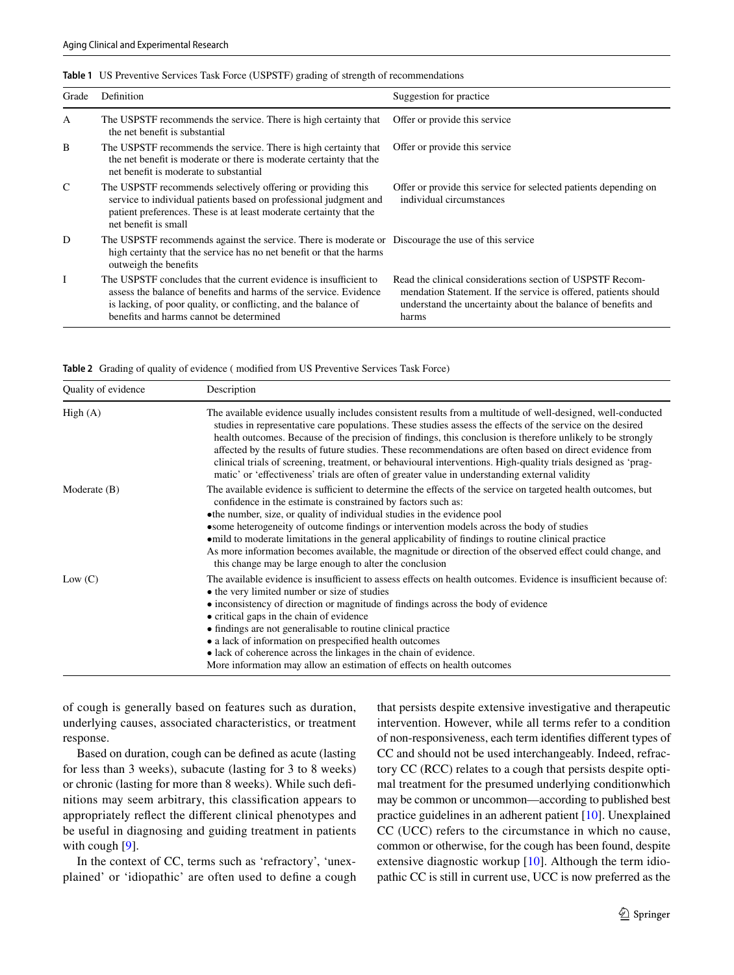| Grade        | Definition                                                                                                                                                                                                                                           | Suggestion for practice.                                                                                                                                                                              |
|--------------|------------------------------------------------------------------------------------------------------------------------------------------------------------------------------------------------------------------------------------------------------|-------------------------------------------------------------------------------------------------------------------------------------------------------------------------------------------------------|
| A            | The USPSTF recommends the service. There is high certainty that<br>the net benefit is substantial                                                                                                                                                    | Offer or provide this service                                                                                                                                                                         |
| B            | The USPSTF recommends the service. There is high certainty that<br>the net benefit is moderate or there is moderate certainty that the<br>net benefit is moderate to substantial                                                                     | Offer or provide this service                                                                                                                                                                         |
| $\mathsf{C}$ | The USPSTF recommends selectively offering or providing this<br>service to individual patients based on professional judgment and<br>patient preferences. These is at least moderate certainty that the<br>net benefit is small                      | Offer or provide this service for selected patients depending on<br>individual circumstances                                                                                                          |
| D            | The USPSTF recommends against the service. There is moderate or Discourage the use of this service<br>high certainty that the service has no net benefit or that the harms<br>outweigh the benefits                                                  |                                                                                                                                                                                                       |
| Ι            | The USPSTF concludes that the current evidence is insufficient to<br>assess the balance of benefits and harms of the service. Evidence<br>is lacking, of poor quality, or conflicting, and the balance of<br>benefits and harms cannot be determined | Read the clinical considerations section of USPSTF Recom-<br>mendation Statement. If the service is offered, patients should<br>understand the uncertainty about the balance of benefits and<br>harms |

<span id="page-2-0"></span>**Table 1** US Preventive Services Task Force (USPSTF) grading of strength of recommendations

<span id="page-2-1"></span>**Table 2** Grading of quality of evidence ( modifed from US Preventive Services Task Force)

| Quality of evidence | Description                                                                                                                                                                                                                                                                                                                                                                                                                                                                                                                                                                                                                                                              |
|---------------------|--------------------------------------------------------------------------------------------------------------------------------------------------------------------------------------------------------------------------------------------------------------------------------------------------------------------------------------------------------------------------------------------------------------------------------------------------------------------------------------------------------------------------------------------------------------------------------------------------------------------------------------------------------------------------|
| High(A)             | The available evidence usually includes consistent results from a multitude of well-designed, well-conducted<br>studies in representative care populations. These studies assess the effects of the service on the desired<br>health outcomes. Because of the precision of findings, this conclusion is therefore unlikely to be strongly<br>affected by the results of future studies. These recommendations are often based on direct evidence from<br>clinical trials of screening, treatment, or behavioural interventions. High-quality trials designed as 'prag-<br>matic' or 'effectiveness' trials are often of greater value in understanding external validity |
| Moderate $(B)$      | The available evidence is sufficient to determine the effects of the service on targeted health outcomes, but<br>confidence in the estimate is constrained by factors such as:<br>• the number, size, or quality of individual studies in the evidence pool<br>• some heterogeneity of outcome findings or intervention models across the body of studies<br>• mild to moderate limitations in the general applicability of findings to routine clinical practice<br>As more information becomes available, the magnitude or direction of the observed effect could change, and<br>this change may be large enough to alter the conclusion                               |
| Low (C)             | The available evidence is insufficient to assess effects on health outcomes. Evidence is insufficient because of:<br>• the very limited number or size of studies<br>• inconsistency of direction or magnitude of findings across the body of evidence<br>• critical gaps in the chain of evidence<br>• findings are not generalisable to routine clinical practice<br>• a lack of information on prespecified health outcomes<br>· lack of coherence across the linkages in the chain of evidence.<br>More information may allow an estimation of effects on health outcomes                                                                                            |

of cough is generally based on features such as duration, underlying causes, associated characteristics, or treatment response.

Based on duration, cough can be defned as acute (lasting for less than 3 weeks), subacute (lasting for 3 to 8 weeks) or chronic (lasting for more than 8 weeks). While such defnitions may seem arbitrary, this classifcation appears to appropriately refect the diferent clinical phenotypes and be useful in diagnosing and guiding treatment in patients with cough [[9](#page-19-5)].

In the context of CC, terms such as 'refractory', 'unexplained' or 'idiopathic' are often used to defne a cough that persists despite extensive investigative and therapeutic intervention. However, while all terms refer to a condition of non-responsiveness, each term identifes diferent types of CC and should not be used interchangeably. Indeed, refractory CC (RCC) relates to a cough that persists despite optimal treatment for the presumed underlying conditionwhich may be common or uncommon—according to published best practice guidelines in an adherent patient [\[10](#page-19-6)]. Unexplained CC (UCC) refers to the circumstance in which no cause, common or otherwise, for the cough has been found, despite extensive diagnostic workup [\[10](#page-19-6)]. Although the term idiopathic CC is still in current use, UCC is now preferred as the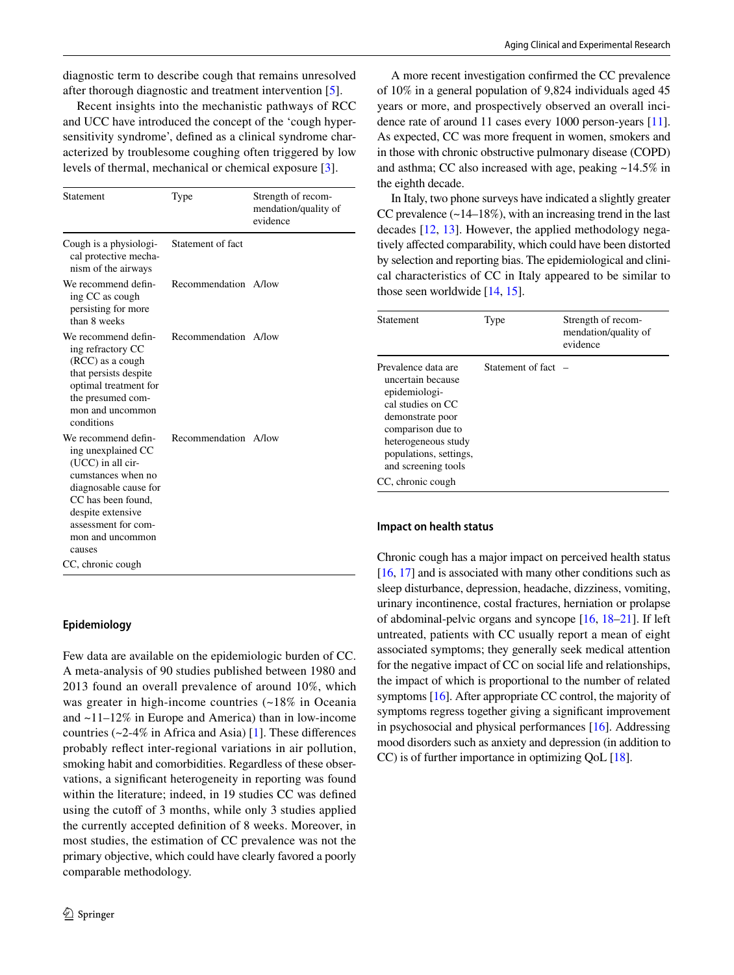diagnostic term to describe cough that remains unresolved after thorough diagnostic and treatment intervention [\[5](#page-19-7)].

Recent insights into the mechanistic pathways of RCC and UCC have introduced the concept of the 'cough hypersensitivity syndrome', defned as a clinical syndrome characterized by troublesome coughing often triggered by low levels of thermal, mechanical or chemical exposure [[3\]](#page-19-2).

| Statement                                                                                                                                                                                                     | Type                 | Strength of recom-<br>mendation/quality of<br>evidence |
|---------------------------------------------------------------------------------------------------------------------------------------------------------------------------------------------------------------|----------------------|--------------------------------------------------------|
| Cough is a physiologi-<br>cal protective mecha-<br>nism of the airways                                                                                                                                        | Statement of fact    |                                                        |
| We recommend defin-<br>ing CC as cough<br>persisting for more<br>than 8 weeks                                                                                                                                 | Recommendation A/low |                                                        |
| We recommend defin-<br>ing refractory CC<br>(RCC) as a cough<br>that persists despite<br>optimal treatment for<br>the presumed com-<br>mon and uncommon<br>conditions                                         | Recommendation A/low |                                                        |
| We recommend defin-<br>ing unexplained CC<br>(UCC) in all cir-<br>cumstances when no<br>diagnosable cause for<br>CC has been found,<br>despite extensive<br>assessment for com-<br>mon and uncommon<br>causes | Recommendation A/low |                                                        |
| CC, chronic cough                                                                                                                                                                                             |                      |                                                        |

# **Epidemiology**

Few data are available on the epidemiologic burden of CC. A meta-analysis of 90 studies published between 1980 and 2013 found an overall prevalence of around 10%, which was greater in high-income countries (~18% in Oceania and ~11–12% in Europe and America) than in low-income countries ( $\sim$ 2-4% in Africa and Asia) [\[1](#page-19-0)]. These differences probably refect inter-regional variations in air pollution, smoking habit and comorbidities. Regardless of these observations, a signifcant heterogeneity in reporting was found within the literature; indeed, in 19 studies CC was defned using the cutoff of 3 months, while only 3 studies applied the currently accepted defnition of 8 weeks. Moreover, in most studies, the estimation of CC prevalence was not the primary objective, which could have clearly favored a poorly comparable methodology.

A more recent investigation confrmed the CC prevalence of 10% in a general population of 9,824 individuals aged 45 years or more, and prospectively observed an overall incidence rate of around 11 cases every 1000 person-years [[11](#page-19-8)]. As expected, CC was more frequent in women, smokers and in those with chronic obstructive pulmonary disease (COPD) and asthma; CC also increased with age, peaking ~14.5% in the eighth decade.

In Italy, two phone surveys have indicated a slightly greater CC prevalence  $(\sim 14-18\%)$ , with an increasing trend in the last decades [[12,](#page-19-9) [13](#page-19-10)]. However, the applied methodology negatively afected comparability, which could have been distorted by selection and reporting bias. The epidemiological and clinical characteristics of CC in Italy appeared to be similar to those seen worldwide [\[14,](#page-19-11) [15](#page-19-12)].

| <b>Statement</b>                                                                                                                                                                                                     | Type              | Strength of recom-<br>mendation/quality of<br>evidence |
|----------------------------------------------------------------------------------------------------------------------------------------------------------------------------------------------------------------------|-------------------|--------------------------------------------------------|
| Prevalence data are<br>uncertain because<br>epidemiologi-<br>cal studies on CC<br>demonstrate poor<br>comparison due to<br>heterogeneous study<br>populations, settings,<br>and screening tools<br>CC, chronic cough | Statement of fact |                                                        |

### **Impact on health status**

Chronic cough has a major impact on perceived health status [\[16](#page-19-13), [17\]](#page-19-14) and is associated with many other conditions such as sleep disturbance, depression, headache, dizziness, vomiting, urinary incontinence, costal fractures, herniation or prolapse of abdominal-pelvic organs and syncope [\[16](#page-19-13), [18](#page-19-15)[–21](#page-19-16)]. If left untreated, patients with CC usually report a mean of eight associated symptoms; they generally seek medical attention for the negative impact of CC on social life and relationships, the impact of which is proportional to the number of related symptoms [[16\]](#page-19-13). After appropriate CC control, the majority of symptoms regress together giving a signifcant improvement in psychosocial and physical performances [\[16](#page-19-13)]. Addressing mood disorders such as anxiety and depression (in addition to CC) is of further importance in optimizing QoL [\[18\]](#page-19-15).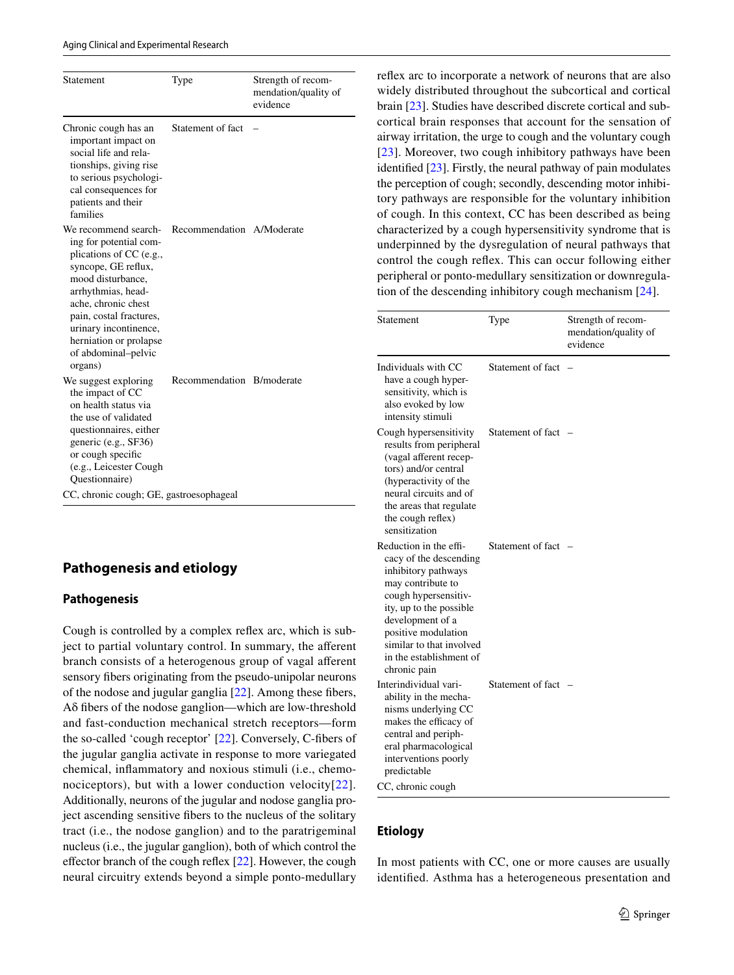#### Aging Clinical and Experimental Research

| Statement                                                                                                                                                                                                                                                                          | Type                      | Strength of recom-<br>mendation/quality of<br>evidence |
|------------------------------------------------------------------------------------------------------------------------------------------------------------------------------------------------------------------------------------------------------------------------------------|---------------------------|--------------------------------------------------------|
| Chronic cough has an<br>important impact on<br>social life and rela-<br>tionships, giving rise<br>to serious psychologi-<br>cal consequences for<br>patients and their<br>families                                                                                                 | Statement of fact         |                                                        |
| We recommend search-<br>ing for potential com-<br>plications of CC (e.g.,<br>syncope, GE reflux,<br>mood disturbance,<br>arrhythmias, head-<br>ache, chronic chest<br>pain, costal fractures,<br>urinary incontinence,<br>herniation or prolapse<br>of abdominal-pelvic<br>organs) | Recommendation A/Moderate |                                                        |
| We suggest exploring<br>the impact of CC<br>on health status via<br>the use of validated<br>questionnaires, either<br>generic (e.g., SF36)<br>or cough specific<br>(e.g., Leicester Cough<br>Questionnaire)<br>CC, chronic cough; GE, gastroesophageal                             | Recommendation B/moderate |                                                        |

# **Pathogenesis and etiology**

### **Pathogenesis**

Cough is controlled by a complex refex arc, which is subject to partial voluntary control. In summary, the aferent branch consists of a heterogenous group of vagal aferent sensory fbers originating from the pseudo-unipolar neurons of the nodose and jugular ganglia [\[22](#page-19-17)]. Among these fbers, Aδ fbers of the nodose ganglion—which are low-threshold and fast-conduction mechanical stretch receptors—form the so-called 'cough receptor' [[22\]](#page-19-17). Conversely, C-fbers of the jugular ganglia activate in response to more variegated chemical, infammatory and noxious stimuli (i.e., chemonociceptors), but with a lower conduction velocity $[22]$  $[22]$ . Additionally, neurons of the jugular and nodose ganglia project ascending sensitive fbers to the nucleus of the solitary tract (i.e., the nodose ganglion) and to the paratrigeminal nucleus (i.e., the jugular ganglion), both of which control the effector branch of the cough reflex [\[22](#page-19-17)]. However, the cough neural circuitry extends beyond a simple ponto-medullary refex arc to incorporate a network of neurons that are also widely distributed throughout the subcortical and cortical brain [\[23](#page-19-18)]. Studies have described discrete cortical and subcortical brain responses that account for the sensation of airway irritation, the urge to cough and the voluntary cough [[23\]](#page-19-18). Moreover, two cough inhibitory pathways have been identifed [\[23](#page-19-18)]. Firstly, the neural pathway of pain modulates the perception of cough; secondly, descending motor inhibitory pathways are responsible for the voluntary inhibition of cough. In this context, CC has been described as being characterized by a cough hypersensitivity syndrome that is underpinned by the dysregulation of neural pathways that control the cough refex. This can occur following either peripheral or ponto-medullary sensitization or downregulation of the descending inhibitory cough mechanism [\[24](#page-19-19)].

|                          | Strength of recom-<br>mendation/quality of<br>evidence |
|--------------------------|--------------------------------------------------------|
| Statement of fact        |                                                        |
| Statement of fact        |                                                        |
| Statement of fact        |                                                        |
| Statement of fact        |                                                        |
| similar to that involved |                                                        |

### **Etiology**

In most patients with CC, one or more causes are usually identifed. Asthma has a heterogeneous presentation and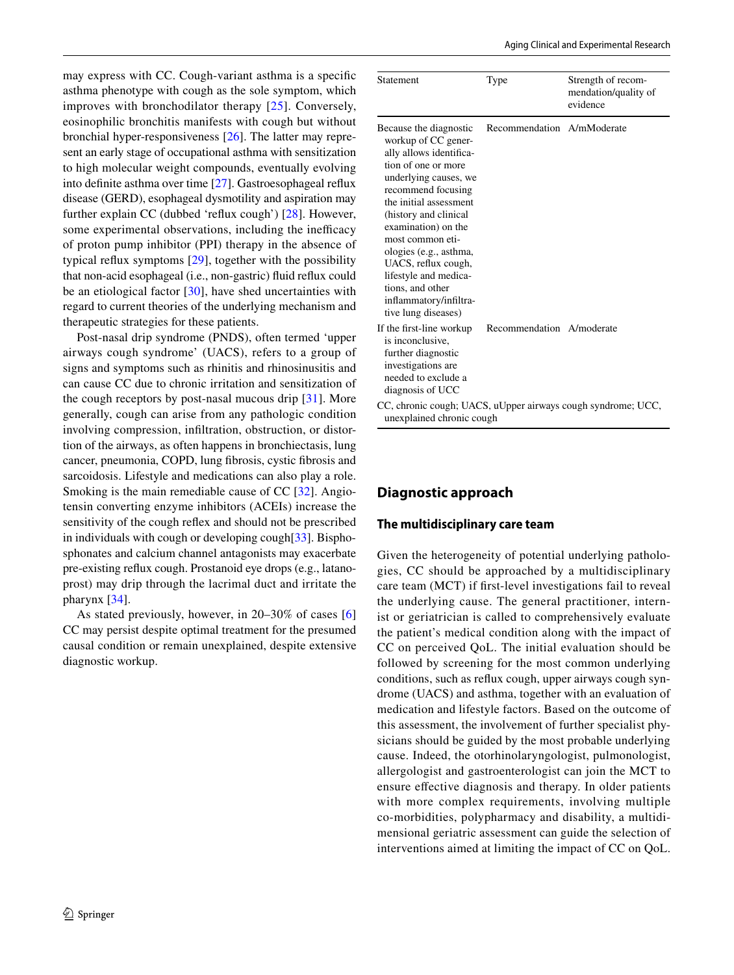may express with CC. Cough-variant asthma is a specifc asthma phenotype with cough as the sole symptom, which improves with bronchodilator therapy [[25](#page-19-20)]. Conversely, eosinophilic bronchitis manifests with cough but without bronchial hyper-responsiveness [\[26](#page-19-21)]. The latter may represent an early stage of occupational asthma with sensitization to high molecular weight compounds, eventually evolving into defnite asthma over time [[27\]](#page-19-22). Gastroesophageal refux disease (GERD), esophageal dysmotility and aspiration may further explain CC (dubbed 'reflux cough') [\[28](#page-20-0)]. However, some experimental observations, including the inefficacy of proton pump inhibitor (PPI) therapy in the absence of typical refux symptoms [[29\]](#page-20-1), together with the possibility that non-acid esophageal (i.e., non-gastric) fuid refux could be an etiological factor [[30\]](#page-20-2), have shed uncertainties with regard to current theories of the underlying mechanism and therapeutic strategies for these patients.

Post-nasal drip syndrome (PNDS), often termed 'upper airways cough syndrome' (UACS), refers to a group of signs and symptoms such as rhinitis and rhinosinusitis and can cause CC due to chronic irritation and sensitization of the cough receptors by post-nasal mucous drip [\[31](#page-20-3)]. More generally, cough can arise from any pathologic condition involving compression, infltration, obstruction, or distortion of the airways, as often happens in bronchiectasis, lung cancer, pneumonia, COPD, lung fbrosis, cystic fbrosis and sarcoidosis. Lifestyle and medications can also play a role. Smoking is the main remediable cause of CC [[32\]](#page-20-4). Angiotensin converting enzyme inhibitors (ACEIs) increase the sensitivity of the cough refex and should not be prescribed in individuals with cough or developing cough[\[33](#page-20-5)]. Bisphosphonates and calcium channel antagonists may exacerbate pre-existing refux cough. Prostanoid eye drops (e.g., latanoprost) may drip through the lacrimal duct and irritate the pharynx [\[34](#page-20-6)].

As stated previously, however, in 20–30% of cases [[6\]](#page-19-23) CC may persist despite optimal treatment for the presumed causal condition or remain unexplained, despite extensive diagnostic workup.

| Statement                                                                                                                                                                                                                                                                                                                                                                                   | Type                       | Strength of recom-<br>mendation/quality of<br>evidence |
|---------------------------------------------------------------------------------------------------------------------------------------------------------------------------------------------------------------------------------------------------------------------------------------------------------------------------------------------------------------------------------------------|----------------------------|--------------------------------------------------------|
| Because the diagnostic<br>workup of CC gener-<br>ally allows identifica-<br>tion of one or more<br>underlying causes, we<br>recommend focusing<br>the initial assessment<br>(history and clinical<br>examination) on the<br>most common eti-<br>ologies (e.g., asthma,<br>UACS, reflux cough,<br>lifestyle and medica-<br>tions, and other<br>inflammatory/infiltra-<br>tive lung diseases) | Recommendation A/mModerate |                                                        |
| If the first-line workup<br>is inconclusive,<br>further diagnostic<br>investigations are<br>needed to exclude a<br>diagnosis of UCC                                                                                                                                                                                                                                                         | Recommendation A/moderate  |                                                        |
| CC, chronic cough; UACS, uUpper airways cough syndrome; UCC,<br>unexplained chronic cough                                                                                                                                                                                                                                                                                                   |                            |                                                        |

# **Diagnostic approach**

# **The multidisciplinary care team**

Given the heterogeneity of potential underlying pathologies, CC should be approached by a multidisciplinary care team (MCT) if frst-level investigations fail to reveal the underlying cause. The general practitioner, internist or geriatrician is called to comprehensively evaluate the patient's medical condition along with the impact of CC on perceived QoL. The initial evaluation should be followed by screening for the most common underlying conditions, such as refux cough, upper airways cough syndrome (UACS) and asthma, together with an evaluation of medication and lifestyle factors. Based on the outcome of this assessment, the involvement of further specialist physicians should be guided by the most probable underlying cause. Indeed, the otorhinolaryngologist, pulmonologist, allergologist and gastroenterologist can join the MCT to ensure efective diagnosis and therapy. In older patients with more complex requirements, involving multiple co-morbidities, polypharmacy and disability, a multidimensional geriatric assessment can guide the selection of interventions aimed at limiting the impact of CC on QoL.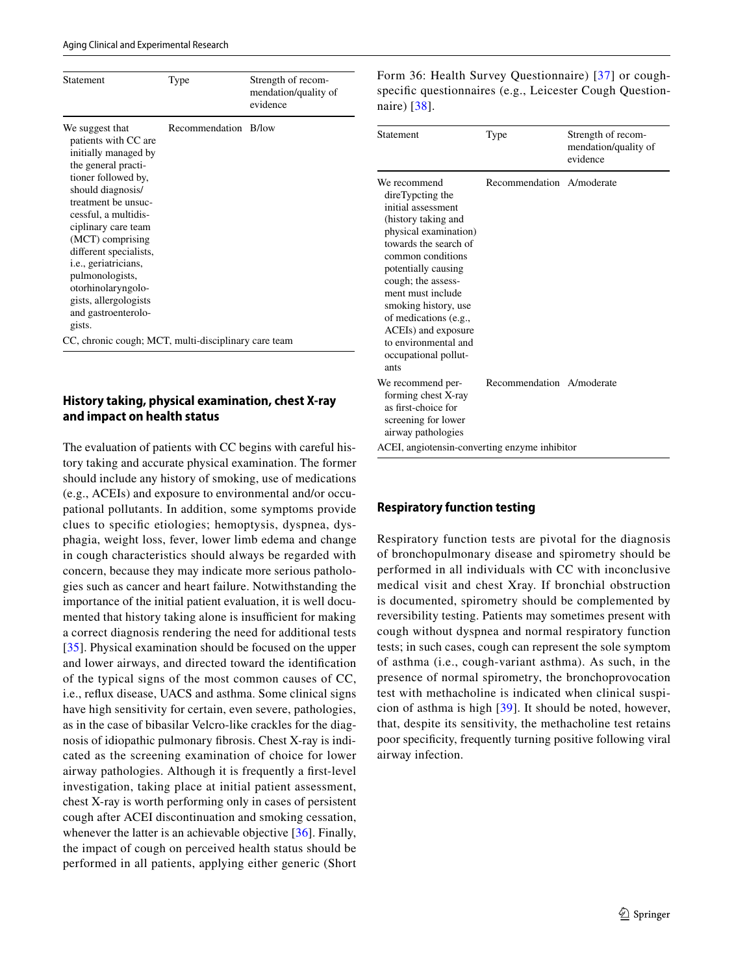| Statement                                                                                                                                                                                                                                                                                                                                                                         | Type                 | Strength of recom-<br>mendation/quality of<br>evidence |  |
|-----------------------------------------------------------------------------------------------------------------------------------------------------------------------------------------------------------------------------------------------------------------------------------------------------------------------------------------------------------------------------------|----------------------|--------------------------------------------------------|--|
| We suggest that<br>patients with CC are<br>initially managed by<br>the general practi-<br>tioner followed by,<br>should diagnosis/<br>treatment be unsuc-<br>cessful, a multidis-<br>ciplinary care team<br>(MCT) comprising<br>different specialists,<br>i.e., geriatricians,<br>pulmonologists,<br>otorhinolaryngolo-<br>gists, allergologists<br>and gastroenterolo-<br>gists. | Recommendation B/low |                                                        |  |
| CC, chronic cough; MCT, multi-disciplinary care team                                                                                                                                                                                                                                                                                                                              |                      |                                                        |  |

# **History taking, physical examination, chest X‑ray and impact on health status**

The evaluation of patients with CC begins with careful history taking and accurate physical examination. The former should include any history of smoking, use of medications (e.g., ACEIs) and exposure to environmental and/or occupational pollutants. In addition, some symptoms provide clues to specifc etiologies; hemoptysis, dyspnea, dysphagia, weight loss, fever, lower limb edema and change in cough characteristics should always be regarded with concern, because they may indicate more serious pathologies such as cancer and heart failure. Notwithstanding the importance of the initial patient evaluation, it is well documented that history taking alone is insufficient for making a correct diagnosis rendering the need for additional tests [\[35\]](#page-20-7). Physical examination should be focused on the upper and lower airways, and directed toward the identifcation of the typical signs of the most common causes of CC, i.e., refux disease, UACS and asthma. Some clinical signs have high sensitivity for certain, even severe, pathologies, as in the case of bibasilar Velcro-like crackles for the diagnosis of idiopathic pulmonary fbrosis. Chest X-ray is indicated as the screening examination of choice for lower airway pathologies. Although it is frequently a frst-level investigation, taking place at initial patient assessment, chest X-ray is worth performing only in cases of persistent cough after ACEI discontinuation and smoking cessation, whenever the latter is an achievable objective [[36](#page-20-8)]. Finally, the impact of cough on perceived health status should be performed in all patients, applying either generic (Short Form 36: Health Survey Questionnaire) [[37\]](#page-20-9) or coughspecific questionnaires (e.g., Leicester Cough Questionnaire) [[38](#page-20-10)].

| Statement                                                                                                                                                                                                                                                                                                                                              | Type                      | Strength of recom-<br>mendation/quality of<br>evidence |
|--------------------------------------------------------------------------------------------------------------------------------------------------------------------------------------------------------------------------------------------------------------------------------------------------------------------------------------------------------|---------------------------|--------------------------------------------------------|
| We recommend<br>direTypcting the<br>initial assessment<br>(history taking and<br>physical examination)<br>towards the search of<br>common conditions<br>potentially causing<br>cough; the assess-<br>ment must include<br>smoking history, use<br>of medications (e.g.,<br>ACEIs) and exposure<br>to environmental and<br>occupational pollut-<br>ants | Recommendation A/moderate |                                                        |
| We recommend per-<br>forming chest X-ray<br>as first-choice for<br>screening for lower<br>airway pathologies<br>ACEI, angiotensin-converting enzyme inhibitor                                                                                                                                                                                          | Recommendation A/moderate |                                                        |

### **Respiratory function testing**

Respiratory function tests are pivotal for the diagnosis of bronchopulmonary disease and spirometry should be performed in all individuals with CC with inconclusive medical visit and chest Xray. If bronchial obstruction is documented, spirometry should be complemented by reversibility testing. Patients may sometimes present with cough without dyspnea and normal respiratory function tests; in such cases, cough can represent the sole symptom of asthma (i.e., cough-variant asthma). As such, in the presence of normal spirometry, the bronchoprovocation test with methacholine is indicated when clinical suspicion of asthma is high [[39](#page-20-11)]. It should be noted, however, that, despite its sensitivity, the methacholine test retains poor specifcity, frequently turning positive following viral airway infection.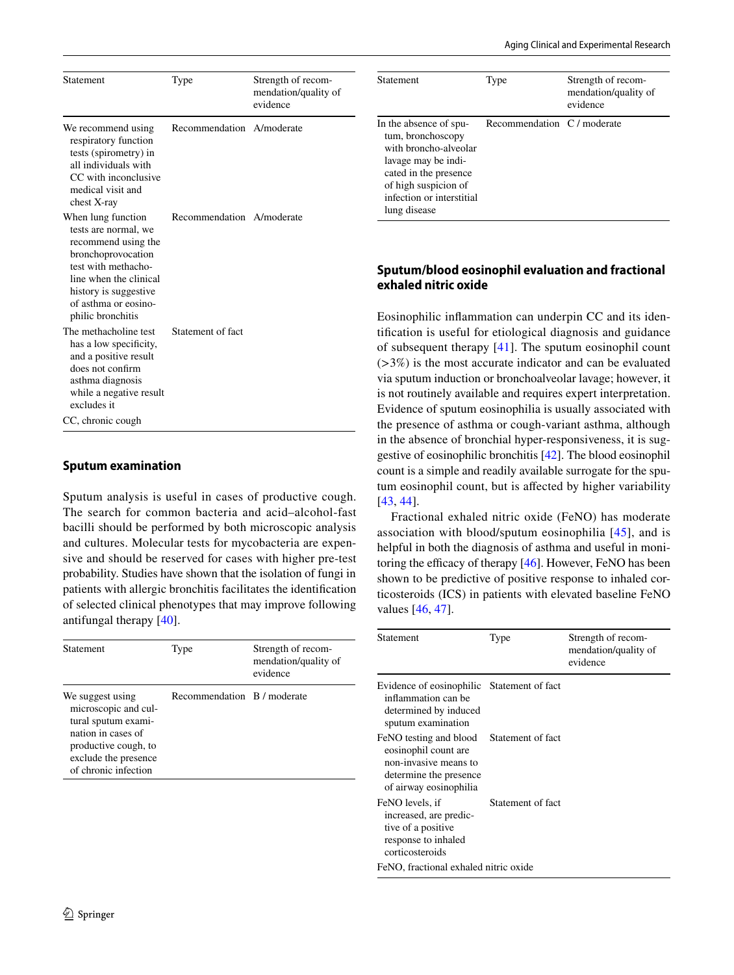| Statement                                                                                                                                                                                                      | Type                      | Strength of recom-<br>mendation/quality of<br>evidence |
|----------------------------------------------------------------------------------------------------------------------------------------------------------------------------------------------------------------|---------------------------|--------------------------------------------------------|
| We recommend using<br>respiratory function<br>tests (spirometry) in<br>all individuals with<br>CC with inconclusive<br>medical visit and<br>chest X-ray                                                        | Recommendation A/moderate |                                                        |
| When lung function<br>tests are normal, we<br>recommend using the<br>bronchoprovocation<br>test with methacho-<br>line when the clinical<br>history is suggestive<br>of asthma or eosino-<br>philic bronchitis | Recommendation A/moderate |                                                        |
| The methacholine test<br>has a low specificity,<br>and a positive result<br>does not confirm<br>asthma diagnosis<br>while a negative result<br>excludes it<br>CC, chronic cough                                | Statement of fact         |                                                        |

### **Sputum examination**

Sputum analysis is useful in cases of productive cough. The search for common bacteria and acid–alcohol-fast bacilli should be performed by both microscopic analysis and cultures. Molecular tests for mycobacteria are expensive and should be reserved for cases with higher pre-test probability. Studies have shown that the isolation of fungi in patients with allergic bronchitis facilitates the identifcation of selected clinical phenotypes that may improve following antifungal therapy [[40\]](#page-20-12).

| <b>Statement</b>                                                                                                                                              | Type                        | Strength of recom-<br>mendation/quality of<br>evidence |
|---------------------------------------------------------------------------------------------------------------------------------------------------------------|-----------------------------|--------------------------------------------------------|
| We suggest using<br>microscopic and cul-<br>tural sputum exami-<br>nation in cases of<br>productive cough, to<br>exclude the presence<br>of chronic infection | Recommendation B / moderate |                                                        |

| <b>Statement</b>                                                                                                                                                                          | Type                        | Strength of recom-<br>mendation/quality of<br>evidence |
|-------------------------------------------------------------------------------------------------------------------------------------------------------------------------------------------|-----------------------------|--------------------------------------------------------|
| In the absence of spu-<br>tum, bronchoscopy<br>with broncho-alveolar<br>lavage may be indi-<br>cated in the presence<br>of high suspicion of<br>infection or interstitial<br>lung disease | Recommendation C / moderate |                                                        |

# **Sputum/blood eosinophil evaluation and fractional exhaled nitric oxide**

Eosinophilic infammation can underpin CC and its identifcation is useful for etiological diagnosis and guidance of subsequent therapy [[41](#page-20-13)]. The sputum eosinophil count (>3%) is the most accurate indicator and can be evaluated via sputum induction or bronchoalveolar lavage; however, it is not routinely available and requires expert interpretation. Evidence of sputum eosinophilia is usually associated with the presence of asthma or cough-variant asthma, although in the absence of bronchial hyper-responsiveness, it is suggestive of eosinophilic bronchitis [\[42](#page-20-14)]. The blood eosinophil count is a simple and readily available surrogate for the sputum eosinophil count, but is afected by higher variability [[43,](#page-20-15) [44\]](#page-20-16).

Fractional exhaled nitric oxide (FeNO) has moderate association with blood/sputum eosinophilia [[45](#page-20-17)], and is helpful in both the diagnosis of asthma and useful in monitoring the efficacy of therapy  $[46]$  $[46]$ . However, FeNO has been shown to be predictive of positive response to inhaled corticosteroids (ICS) in patients with elevated baseline FeNO values [[46,](#page-20-18) [47\]](#page-20-19).

| Statement                                                                                                                   | Type              | Strength of recom-<br>mendation/quality of<br>evidence |
|-----------------------------------------------------------------------------------------------------------------------------|-------------------|--------------------------------------------------------|
| Evidence of eosinophilic Statement of fact<br>inflammation can be<br>determined by induced<br>sputum examination            |                   |                                                        |
| FeNO testing and blood<br>eosinophil count are<br>non-invasive means to<br>determine the presence<br>of airway eosinophilia | Statement of fact |                                                        |
| FeNO levels, if<br>increased, are predic-<br>tive of a positive<br>response to inhaled<br>corticosteroids                   | Statement of fact |                                                        |
| FeNO, fractional exhaled nitric oxide                                                                                       |                   |                                                        |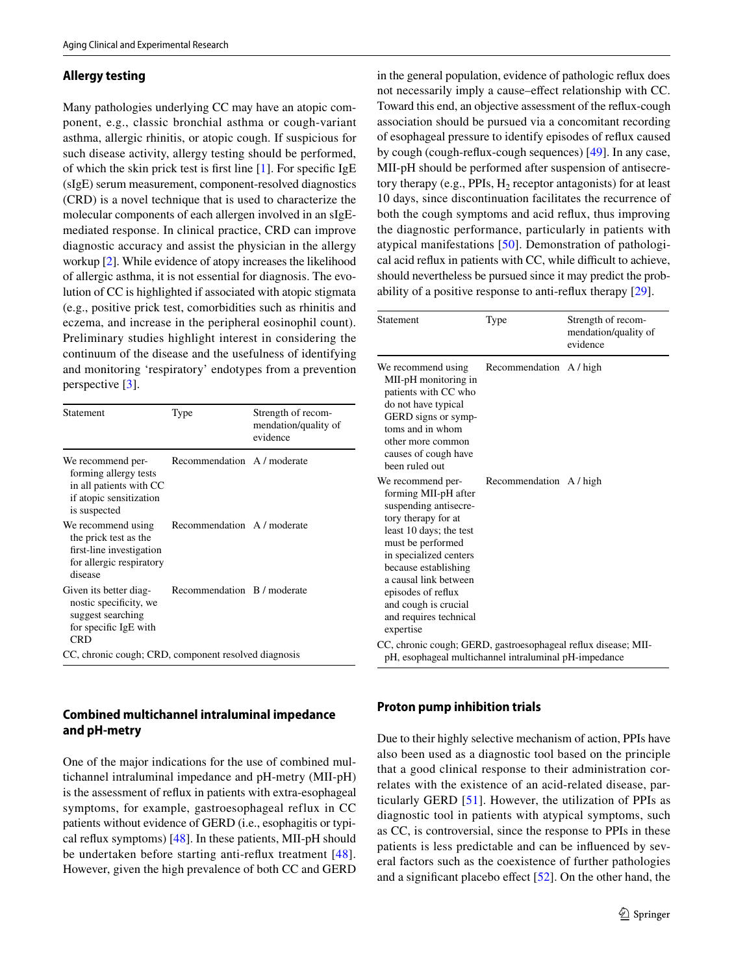### **Allergy testing**

Many pathologies underlying CC may have an atopic component, e.g., classic bronchial asthma or cough-variant asthma, allergic rhinitis, or atopic cough. If suspicious for such disease activity, allergy testing should be performed, of which the skin prick test is frst line [\[1](#page-19-0)]. For specifc IgE (sIgE) serum measurement, component-resolved diagnostics (CRD) is a novel technique that is used to characterize the molecular components of each allergen involved in an sIgEmediated response. In clinical practice, CRD can improve diagnostic accuracy and assist the physician in the allergy workup [\[2](#page-19-1)]. While evidence of atopy increases the likelihood of allergic asthma, it is not essential for diagnosis. The evolution of CC is highlighted if associated with atopic stigmata (e.g., positive prick test, comorbidities such as rhinitis and eczema, and increase in the peripheral eosinophil count). Preliminary studies highlight interest in considering the continuum of the disease and the usefulness of identifying and monitoring 'respiratory' endotypes from a prevention perspective [[3\]](#page-19-2).

| Statement                                                                                                        | Type                        | Strength of recom-<br>mendation/quality of<br>evidence |
|------------------------------------------------------------------------------------------------------------------|-----------------------------|--------------------------------------------------------|
| We recommend per-<br>forming allergy tests<br>in all patients with CC<br>if atopic sensitization<br>is suspected | Recommendation A / moderate |                                                        |
| We recommend using<br>the prick test as the<br>first-line investigation<br>for allergic respiratory<br>disease   | Recommendation A / moderate |                                                        |
| Given its better diag-<br>nostic specificity, we<br>suggest searching<br>for specific IgE with<br><b>CRD</b>     | Recommendation B / moderate |                                                        |
| CC, chronic cough; CRD, component resolved diagnosis                                                             |                             |                                                        |

# **Combined multichannel intraluminal impedance and pH‑metry**

One of the major indications for the use of combined multichannel intraluminal impedance and pH-metry (MII-pH) is the assessment of refux in patients with extra-esophageal symptoms, for example, gastroesophageal reflux in CC patients without evidence of GERD (i.e., esophagitis or typical refux symptoms) [[48\]](#page-20-20). In these patients, MII-pH should be undertaken before starting anti-refux treatment [[48\]](#page-20-20). However, given the high prevalence of both CC and GERD

in the general population, evidence of pathologic refux does not necessarily imply a cause–efect relationship with CC. Toward this end, an objective assessment of the refux-cough association should be pursued via a concomitant recording of esophageal pressure to identify episodes of refux caused by cough (cough-refux-cough sequences) [\[49](#page-20-21)]. In any case, MII-pH should be performed after suspension of antisecretory therapy (e.g., PPIs,  $H<sub>2</sub>$  receptor antagonists) for at least 10 days, since discontinuation facilitates the recurrence of both the cough symptoms and acid refux, thus improving the diagnostic performance, particularly in patients with atypical manifestations [[50\]](#page-20-22). Demonstration of pathological acid reflux in patients with CC, while difficult to achieve, should nevertheless be pursued since it may predict the probability of a positive response to anti-refux therapy [\[29](#page-20-1)].

| Statement                                                                                                                                                                                                                                                                                                 | Type                    | Strength of recom-<br>mendation/quality of<br>evidence |
|-----------------------------------------------------------------------------------------------------------------------------------------------------------------------------------------------------------------------------------------------------------------------------------------------------------|-------------------------|--------------------------------------------------------|
| We recommend using<br>MII-pH monitoring in<br>patients with CC who<br>do not have typical<br>GERD signs or symp-<br>toms and in whom<br>other more common<br>causes of cough have<br>been ruled out                                                                                                       | Recommendation A / high |                                                        |
| We recommend per-<br>forming MII-pH after<br>suspending antisecre-<br>tory therapy for at<br>least 10 days; the test<br>must be performed<br>in specialized centers<br>because establishing<br>a causal link between<br>episodes of reflux<br>and cough is crucial<br>and requires technical<br>expertise | Recommendation A / high |                                                        |
| CC, chronic cough; GERD, gastroesophageal reflux disease; MII-<br>pH, esophageal multichannel intraluminal pH-impedance                                                                                                                                                                                   |                         |                                                        |

### **Proton pump inhibition trials**

Due to their highly selective mechanism of action, PPIs have also been used as a diagnostic tool based on the principle that a good clinical response to their administration correlates with the existence of an acid-related disease, particularly GERD [\[51\]](#page-20-23). However, the utilization of PPIs as diagnostic tool in patients with atypical symptoms, such as CC, is controversial, since the response to PPIs in these patients is less predictable and can be infuenced by several factors such as the coexistence of further pathologies and a signifcant placebo efect [\[52](#page-20-24)]. On the other hand, the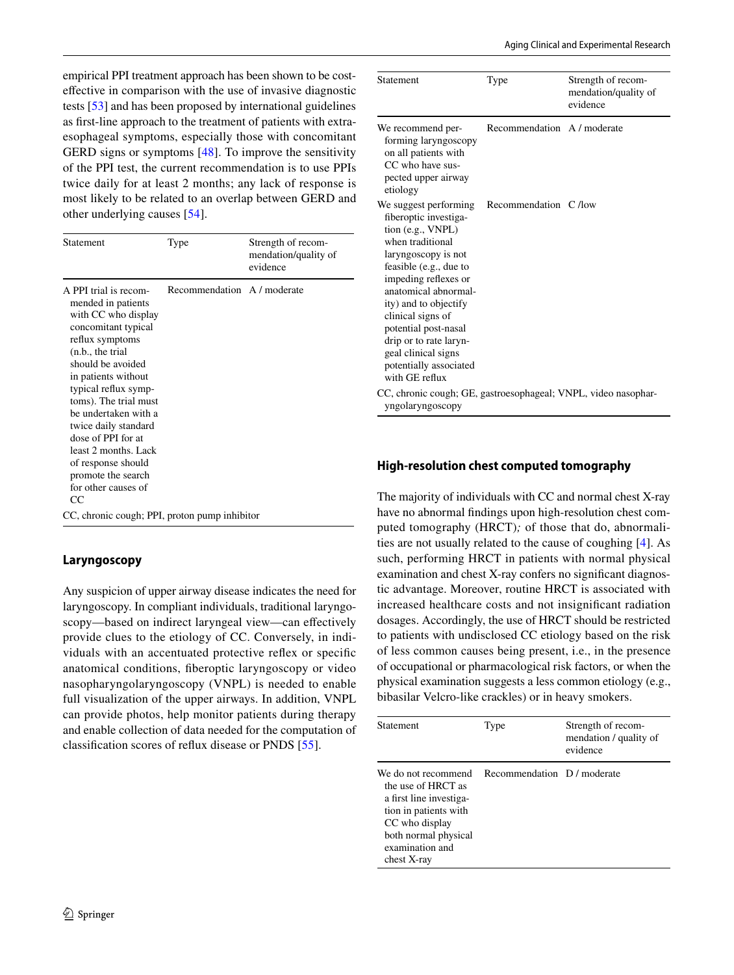empirical PPI treatment approach has been shown to be costefective in comparison with the use of invasive diagnostic tests [\[53](#page-20-25)] and has been proposed by international guidelines as frst-line approach to the treatment of patients with extraesophageal symptoms, especially those with concomitant GERD signs or symptoms [[48\]](#page-20-20). To improve the sensitivity of the PPI test, the current recommendation is to use PPIs twice daily for at least 2 months; any lack of response is most likely to be related to an overlap between GERD and other underlying causes [\[54\]](#page-20-26).

| Statement                                                                                                                                                                                                                                                                                                                                                                                             | Type                        | Strength of recom-<br>mendation/quality of<br>evidence |
|-------------------------------------------------------------------------------------------------------------------------------------------------------------------------------------------------------------------------------------------------------------------------------------------------------------------------------------------------------------------------------------------------------|-----------------------------|--------------------------------------------------------|
| A PPI trial is recom-<br>mended in patients<br>with CC who display<br>concomitant typical<br>reflux symptoms<br>(n.b., the trial)<br>should be avoided<br>in patients without<br>typical reflux symp-<br>toms). The trial must<br>be undertaken with a<br>twice daily standard<br>dose of PPI for at<br>least 2 months. Lack<br>of response should<br>promote the search<br>for other causes of<br>CC | Recommendation A / moderate |                                                        |
| CC, chronic cough; PPI, proton pump inhibitor                                                                                                                                                                                                                                                                                                                                                         |                             |                                                        |

# **Laryngoscopy**

Any suspicion of upper airway disease indicates the need for laryngoscopy. In compliant individuals, traditional laryngoscopy—based on indirect laryngeal view—can efectively provide clues to the etiology of CC. Conversely, in individuals with an accentuated protective refex or specifc anatomical conditions, fberoptic laryngoscopy or video nasopharyngolaryngoscopy (VNPL) is needed to enable full visualization of the upper airways. In addition, VNPL can provide photos, help monitor patients during therapy and enable collection of data needed for the computation of classifcation scores of refux disease or PNDS [[55](#page-20-27)].

| Statement                                                                                                                                                                                                                                                                                                                                                   | Type                        | Strength of recom-<br>mendation/quality of<br>evidence |
|-------------------------------------------------------------------------------------------------------------------------------------------------------------------------------------------------------------------------------------------------------------------------------------------------------------------------------------------------------------|-----------------------------|--------------------------------------------------------|
| We recommend per-<br>forming laryngoscopy<br>on all patients with<br>CC who have sus-<br>pected upper airway<br>etiology                                                                                                                                                                                                                                    | Recommendation A / moderate |                                                        |
| We suggest performing<br>fiberoptic investiga-<br>tion (e.g., VNPL)<br>when traditional<br>laryngoscopy is not<br>feasible (e.g., due to<br>impeding reflexes or<br>anatomical abnormal-<br>ity) and to objectify<br>clinical signs of<br>potential post-nasal<br>drip or to rate laryn-<br>geal clinical signs<br>potentially associated<br>with GE reflux | Recommendation C /low       |                                                        |
| CC, chronic cough; GE, gastroesophageal; VNPL, video nasophar-<br>yngolaryngoscopy                                                                                                                                                                                                                                                                          |                             |                                                        |

# **High‑resolution chest computed tomography**

The majority of individuals with CC and normal chest X-ray have no abnormal fndings upon high-resolution chest computed tomography (HRCT)*;* of those that do, abnormalities are not usually related to the cause of coughing [[4\]](#page-19-24). As such, performing HRCT in patients with normal physical examination and chest X-ray confers no signifcant diagnostic advantage. Moreover, routine HRCT is associated with increased healthcare costs and not insignifcant radiation dosages. Accordingly, the use of HRCT should be restricted to patients with undisclosed CC etiology based on the risk of less common causes being present, i.e., in the presence of occupational or pharmacological risk factors, or when the physical examination suggests a less common etiology (e.g., bibasilar Velcro-like crackles) or in heavy smokers.

| Statement                                                                                                                                                                 | Type                        | Strength of recom-<br>mendation / quality of<br>evidence |
|---------------------------------------------------------------------------------------------------------------------------------------------------------------------------|-----------------------------|----------------------------------------------------------|
| We do not recommend<br>the use of HRCT as<br>a first line investiga-<br>tion in patients with<br>CC who display<br>both normal physical<br>examination and<br>chest X-ray | Recommendation D / moderate |                                                          |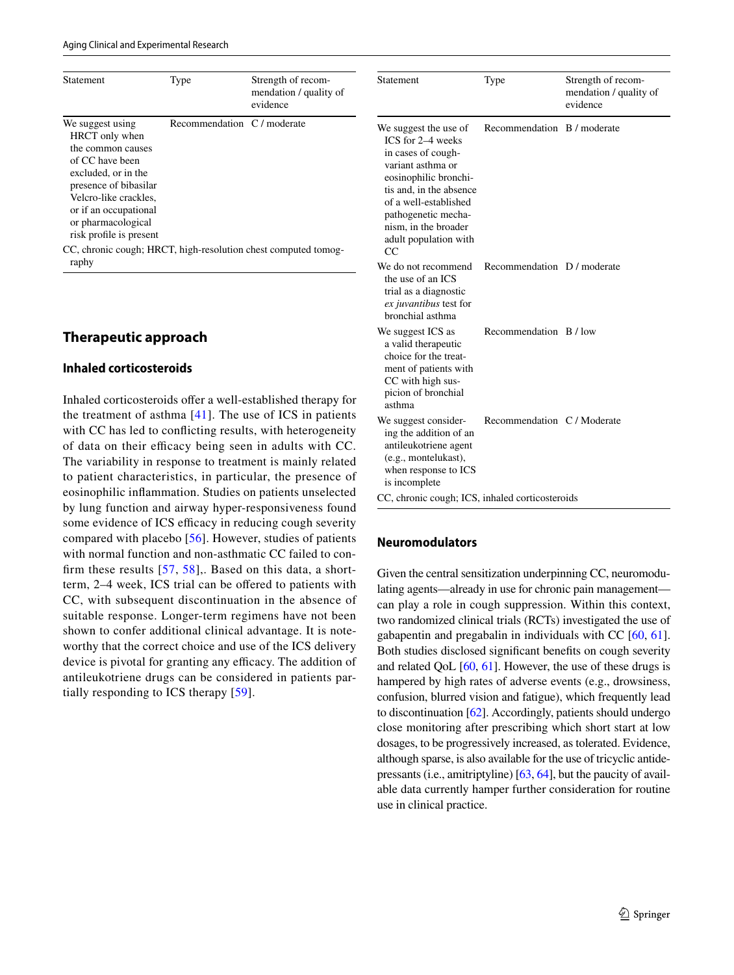| <b>Statement</b>                                                                                                                                                                                                              | Type                        | Strength of recom-<br>mendation / quality of<br>evidence |
|-------------------------------------------------------------------------------------------------------------------------------------------------------------------------------------------------------------------------------|-----------------------------|----------------------------------------------------------|
| We suggest using<br>HRCT only when<br>the common causes<br>of CC have been<br>excluded, or in the<br>presence of bibasilar<br>Velcro-like crackles,<br>or if an occupational<br>or pharmacological<br>risk profile is present | Recommendation C / moderate |                                                          |
| CC, chronic cough; HRCT, high-resolution chest computed tomog-<br>raphy                                                                                                                                                       |                             |                                                          |

# **Therapeutic approach**

### **Inhaled corticosteroids**

Inhaled corticosteroids offer a well-established therapy for the treatment of asthma [[41](#page-20-13)]. The use of ICS in patients with CC has led to conficting results, with heterogeneity of data on their efficacy being seen in adults with CC. The variability in response to treatment is mainly related to patient characteristics, in particular, the presence of eosinophilic infammation. Studies on patients unselected by lung function and airway hyper-responsiveness found some evidence of ICS efficacy in reducing cough severity compared with placebo [\[56\]](#page-20-28). However, studies of patients with normal function and non-asthmatic CC failed to confirm these results  $[57, 58]$  $[57, 58]$  $[57, 58]$  $[57, 58]$ ,. Based on this data, a shortterm, 2–4 week, ICS trial can be ofered to patients with CC, with subsequent discontinuation in the absence of suitable response. Longer-term regimens have not been shown to confer additional clinical advantage. It is noteworthy that the correct choice and use of the ICS delivery device is pivotal for granting any efficacy. The addition of antileukotriene drugs can be considered in patients partially responding to ICS therapy [[59](#page-20-31)].

| Statement                                                                                                                                                                                                                                        | Type                        | Strength of recom-<br>mendation / quality of<br>evidence |
|--------------------------------------------------------------------------------------------------------------------------------------------------------------------------------------------------------------------------------------------------|-----------------------------|----------------------------------------------------------|
| We suggest the use of<br>ICS for 2-4 weeks<br>in cases of cough-<br>variant asthma or<br>eosinophilic bronchi-<br>tis and, in the absence<br>of a well-established<br>pathogenetic mecha-<br>nism, in the broader<br>adult population with<br>CC | Recommendation B / moderate |                                                          |
| We do not recommend<br>the use of an ICS<br>trial as a diagnostic<br>ex juvantibus test for<br>bronchial asthma                                                                                                                                  | Recommendation D / moderate |                                                          |
| We suggest ICS as<br>a valid therapeutic<br>choice for the treat-<br>ment of patients with<br>CC with high sus-<br>picion of bronchial<br>asthma                                                                                                 | Recommendation B / low      |                                                          |
| We suggest consider-<br>ing the addition of an<br>antileukotriene agent<br>(e.g., montelukast),<br>when response to ICS<br>is incomplete                                                                                                         | Recommendation C / Moderate |                                                          |
| CC, chronic cough; ICS, inhaled corticosteroids                                                                                                                                                                                                  |                             |                                                          |

### **Neuromodulators**

Given the central sensitization underpinning CC, neuromodulating agents—already in use for chronic pain management can play a role in cough suppression. Within this context, two randomized clinical trials (RCTs) investigated the use of gabapentin and pregabalin in individuals with CC [\[60](#page-20-32), [61](#page-20-33)]. Both studies disclosed signifcant benefts on cough severity and related QoL [\[60,](#page-20-32) [61\]](#page-20-33). However, the use of these drugs is hampered by high rates of adverse events (e.g., drowsiness, confusion, blurred vision and fatigue), which frequently lead to discontinuation [\[62](#page-20-34)]. Accordingly, patients should undergo close monitoring after prescribing which short start at low dosages, to be progressively increased, as tolerated. Evidence, although sparse, is also available for the use of tricyclic antidepressants (i.e., amitriptyline) [[63](#page-21-0), [64\]](#page-21-1), but the paucity of available data currently hamper further consideration for routine use in clinical practice.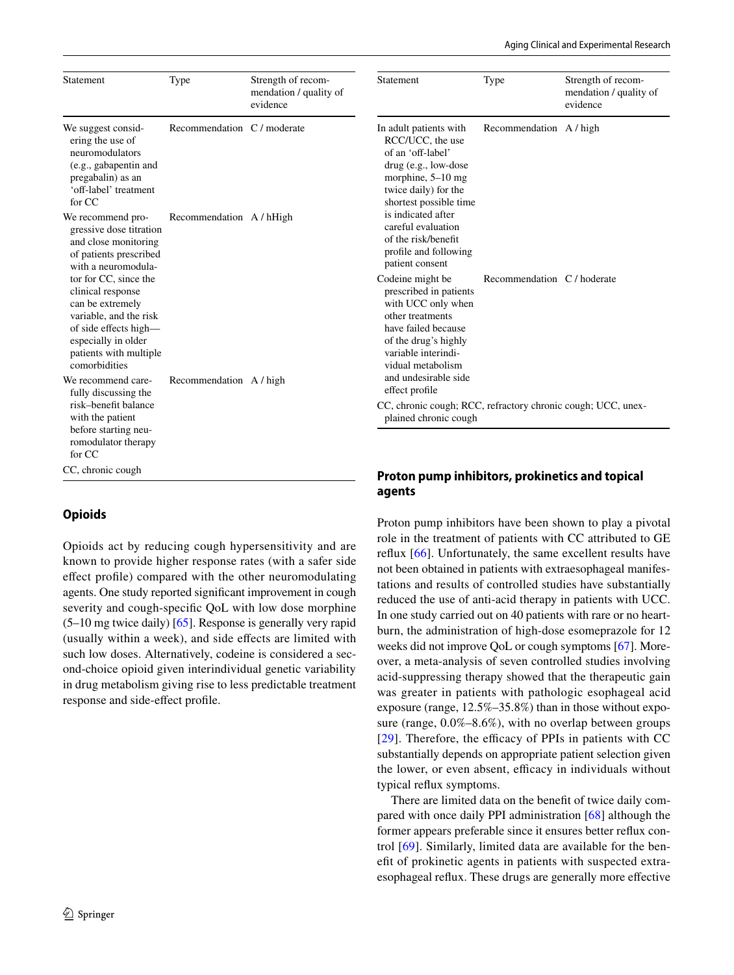| Statement                                                                                                                                                                           | Type                        | Strength of recom-<br>mendation / quality of<br>evidence | Statement                                                                                                                                                                       | Type                        | Strength of recom-<br>mendation / quality of<br>evidence |
|-------------------------------------------------------------------------------------------------------------------------------------------------------------------------------------|-----------------------------|----------------------------------------------------------|---------------------------------------------------------------------------------------------------------------------------------------------------------------------------------|-----------------------------|----------------------------------------------------------|
| We suggest consid-<br>ering the use of<br>neuromodulators<br>(e.g., gabapentin and<br>pregabalin) as an<br>'off-label' treatment<br>for CC                                          | Recommendation C / moderate |                                                          | In adult patients with<br>RCC/UCC, the use<br>of an 'off-label'<br>$drug (e.g., low-dose)$<br>morphine, $5-10$ mg<br>twice daily) for the<br>shortest possible time             | Recommendation A / high     |                                                          |
| We recommend pro-<br>gressive dose titration<br>and close monitoring<br>of patients prescribed<br>with a neuromodula-                                                               | Recommendation A / hHigh    |                                                          | is indicated after<br>careful evaluation<br>of the risk/benefit<br>profile and following<br>patient consent                                                                     |                             |                                                          |
| tor for CC, since the<br>clinical response<br>can be extremely<br>variable, and the risk<br>of side effects high-<br>especially in older<br>patients with multiple<br>comorbidities |                             |                                                          | Codeine might be<br>prescribed in patients<br>with UCC only when<br>other treatments<br>have failed because<br>of the drug's highly<br>variable interindi-<br>vidual metabolism | Recommendation C / hoderate |                                                          |
| We recommend care-<br>fully discussing the<br>risk-benefit balance                                                                                                                  | Recommendation A / high     |                                                          | and undesirable side<br>effect profile<br>CC, chronic cough; RCC, refractory chronic cough; UCC, unex-                                                                          |                             |                                                          |
| with the patient<br>before starting neu-<br>romodulator therapy<br>for CC                                                                                                           |                             |                                                          | plained chronic cough                                                                                                                                                           |                             |                                                          |

# **Opioids**

CC, chronic cough

Opioids act by reducing cough hypersensitivity and are known to provide higher response rates (with a safer side efect profle) compared with the other neuromodulating agents. One study reported signifcant improvement in cough severity and cough-specifc QoL with low dose morphine (5–10 mg twice daily) [\[65](#page-21-2)]. Response is generally very rapid (usually within a week), and side efects are limited with such low doses. Alternatively, codeine is considered a second-choice opioid given interindividual genetic variability in drug metabolism giving rise to less predictable treatment response and side-efect profle.

# **Proton pump inhibitors, prokinetics and topical agents**

Proton pump inhibitors have been shown to play a pivotal role in the treatment of patients with CC attributed to GE refux [\[66](#page-21-3)]. Unfortunately, the same excellent results have not been obtained in patients with extraesophageal manifestations and results of controlled studies have substantially reduced the use of anti-acid therapy in patients with UCC. In one study carried out on 40 patients with rare or no heartburn, the administration of high-dose esomeprazole for 12 weeks did not improve QoL or cough symptoms [\[67](#page-21-4)]. Moreover, a meta-analysis of seven controlled studies involving acid-suppressing therapy showed that the therapeutic gain was greater in patients with pathologic esophageal acid exposure (range, 12.5%–35.8%) than in those without exposure (range, 0.0%–8.6%), with no overlap between groups [[29](#page-20-1)]. Therefore, the efficacy of PPIs in patients with CC substantially depends on appropriate patient selection given the lower, or even absent, efficacy in individuals without typical refux symptoms.

There are limited data on the beneft of twice daily compared with once daily PPI administration [[68\]](#page-21-5) although the former appears preferable since it ensures better refux control [[69](#page-21-6)]. Similarly, limited data are available for the beneft of prokinetic agents in patients with suspected extraesophageal refux. These drugs are generally more efective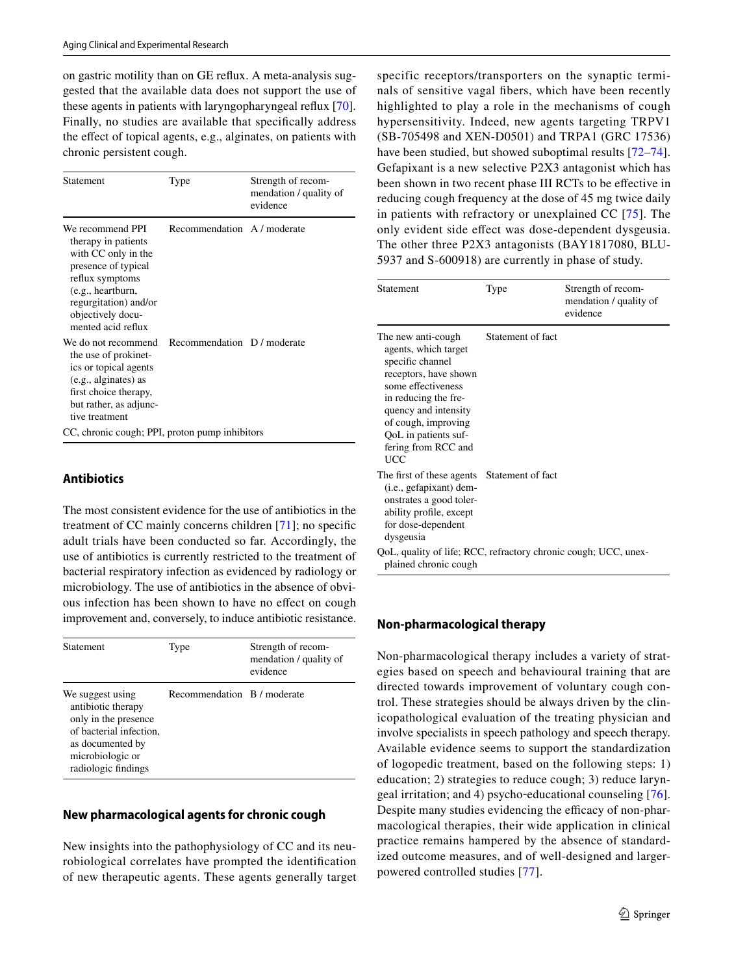on gastric motility than on GE refux. A meta-analysis suggested that the available data does not support the use of these agents in patients with laryngopharyngeal refux [\[70](#page-21-7)]. Finally, no studies are available that specifcally address the efect of topical agents, e.g., alginates, on patients with chronic persistent cough.

| Statement                                                                                                                                                                                         | Type                        | Strength of recom-<br>mendation / quality of<br>evidence |
|---------------------------------------------------------------------------------------------------------------------------------------------------------------------------------------------------|-----------------------------|----------------------------------------------------------|
| We recommend PPI<br>therapy in patients<br>with CC only in the<br>presence of typical<br>reflux symptoms<br>(e.g., heartburn,<br>regurgitation) and/or<br>objectively docu-<br>mented acid reflux | Recommendation A / moderate |                                                          |
| We do not recommend<br>the use of prokinet-<br>ics or topical agents<br>(e.g., alginates) as<br>first choice therapy,<br>but rather, as adjunc-<br>tive treatment                                 | Recommendation D / moderate |                                                          |
| CC, chronic cough; PPI, proton pump inhibitors                                                                                                                                                    |                             |                                                          |

# **Antibiotics**

The most consistent evidence for the use of antibiotics in the treatment of CC mainly concerns children [[71\]](#page-21-8); no specifc adult trials have been conducted so far. Accordingly, the use of antibiotics is currently restricted to the treatment of bacterial respiratory infection as evidenced by radiology or microbiology. The use of antibiotics in the absence of obvious infection has been shown to have no efect on cough improvement and, conversely, to induce antibiotic resistance.

| <b>Statement</b>                                                                                                                                         | Type                        | Strength of recom-<br>mendation / quality of<br>evidence |
|----------------------------------------------------------------------------------------------------------------------------------------------------------|-----------------------------|----------------------------------------------------------|
| We suggest using<br>antibiotic therapy<br>only in the presence<br>of bacterial infection,<br>as documented by<br>microbiologic or<br>radiologic findings | Recommendation B / moderate |                                                          |

# **New pharmacological agents for chronic cough**

New insights into the pathophysiology of CC and its neurobiological correlates have prompted the identifcation of new therapeutic agents. These agents generally target specific receptors/transporters on the synaptic terminals of sensitive vagal fbers, which have been recently highlighted to play a role in the mechanisms of cough hypersensitivity. Indeed, new agents targeting TRPV1 (SB-705498 and XEN-D0501) and TRPA1 (GRC 17536) have been studied, but showed suboptimal results [[72–](#page-21-9)[74](#page-21-10)]. Gefapixant is a new selective P2X3 antagonist which has been shown in two recent phase III RCTs to be efective in reducing cough frequency at the dose of 45 mg twice daily in patients with refractory or unexplained CC [[75\]](#page-21-11). The only evident side efect was dose-dependent dysgeusia. The other three P2X3 antagonists (BAY1817080, BLU-5937 and S-600918) are currently in phase of study.

| Statement                                                                                                                                                                                                                                  | Type              | Strength of recom-<br>mendation / quality of<br>evidence |
|--------------------------------------------------------------------------------------------------------------------------------------------------------------------------------------------------------------------------------------------|-------------------|----------------------------------------------------------|
| The new anti-cough<br>agents, which target<br>specific channel<br>receptors, have shown<br>some effectiveness<br>in reducing the fre-<br>quency and intensity<br>of cough, improving<br>QoL in patients suf-<br>fering from RCC and<br>UCC | Statement of fact |                                                          |
| The first of these agents Statement of fact<br>(i.e., gefapixant) dem-<br>onstrates a good toler-<br>ability profile, except<br>for dose-dependent<br>dysgeusia                                                                            |                   |                                                          |
| QoL, quality of life; RCC, refractory chronic cough; UCC, unex-<br>plained chronic cough                                                                                                                                                   |                   |                                                          |

# **Non‑pharmacological therapy**

Non-pharmacological therapy includes a variety of strategies based on speech and behavioural training that are directed towards improvement of voluntary cough control. These strategies should be always driven by the clinicopathological evaluation of the treating physician and involve specialists in speech pathology and speech therapy. Available evidence seems to support the standardization of logopedic treatment, based on the following steps: 1) education; 2) strategies to reduce cough; 3) reduce laryngeal irritation; and 4) psycho‐educational counseling [[76](#page-21-12)]. Despite many studies evidencing the efficacy of non-pharmacological therapies, their wide application in clinical practice remains hampered by the absence of standardized outcome measures, and of well-designed and largerpowered controlled studies [[77](#page-21-13)].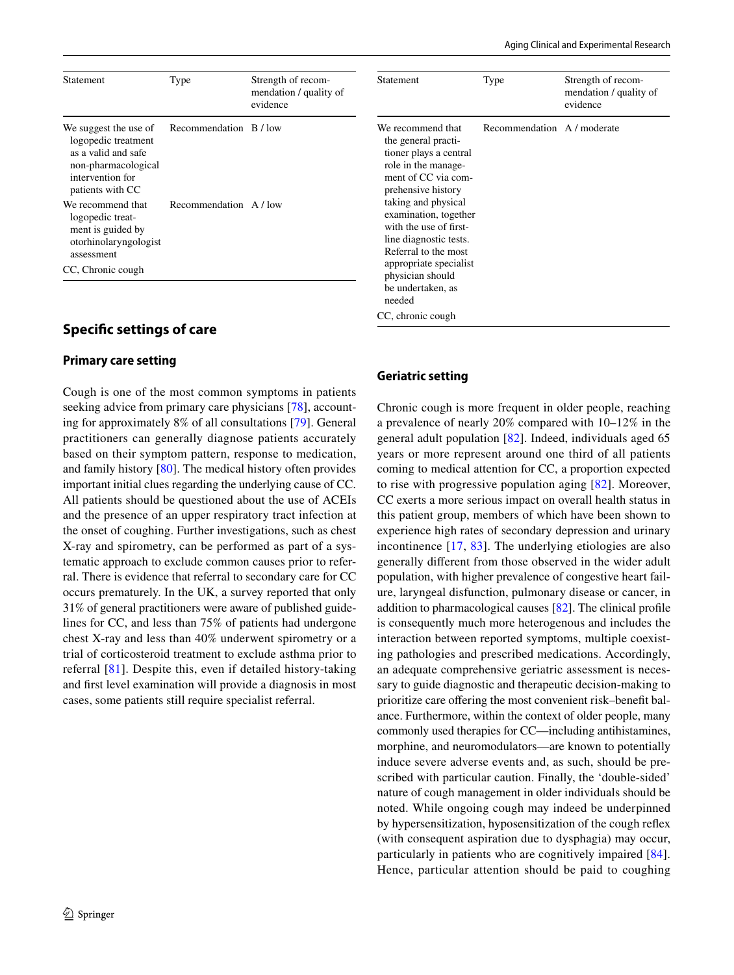| Statement                                                                                                                          | Type                   | Strength of recom-<br>mendation / quality of<br>evidence |
|------------------------------------------------------------------------------------------------------------------------------------|------------------------|----------------------------------------------------------|
| We suggest the use of<br>logopedic treatment<br>as a valid and safe<br>non-pharmacological<br>intervention for<br>patients with CC | Recommendation B / low |                                                          |
| We recommend that<br>logopedic treat-<br>ment is guided by<br>otorhinolaryngologist<br>assessment                                  | Recommendation A / low |                                                          |
| CC, Chronic cough                                                                                                                  |                        |                                                          |

# **Specifc settings of care**

#### **Primary care setting**

Cough is one of the most common symptoms in patients seeking advice from primary care physicians [\[78](#page-21-14)], accounting for approximately 8% of all consultations [[79\]](#page-21-15). General practitioners can generally diagnose patients accurately based on their symptom pattern, response to medication, and family history [\[80](#page-21-16)]. The medical history often provides important initial clues regarding the underlying cause of CC. All patients should be questioned about the use of ACEIs and the presence of an upper respiratory tract infection at the onset of coughing. Further investigations, such as chest X-ray and spirometry, can be performed as part of a systematic approach to exclude common causes prior to referral. There is evidence that referral to secondary care for CC occurs prematurely. In the UK, a survey reported that only 31% of general practitioners were aware of published guidelines for CC, and less than 75% of patients had undergone chest X-ray and less than 40% underwent spirometry or a trial of corticosteroid treatment to exclude asthma prior to referral [[81](#page-21-17)]. Despite this, even if detailed history-taking and frst level examination will provide a diagnosis in most cases, some patients still require specialist referral.

| Statement                                                                                                                                                                                                                                                                                                                                       | Type                        | Strength of recom-<br>mendation / quality of<br>evidence |
|-------------------------------------------------------------------------------------------------------------------------------------------------------------------------------------------------------------------------------------------------------------------------------------------------------------------------------------------------|-----------------------------|----------------------------------------------------------|
| We recommend that<br>the general practi-<br>tioner plays a central<br>role in the manage-<br>ment of CC via com-<br>prehensive history<br>taking and physical<br>examination, together<br>with the use of first-<br>line diagnostic tests.<br>Referral to the most<br>appropriate specialist<br>physician should<br>be undertaken, as<br>needed | Recommendation A / moderate |                                                          |
| CC, chronic cough                                                                                                                                                                                                                                                                                                                               |                             |                                                          |

### **Geriatric setting**

Chronic cough is more frequent in older people, reaching a prevalence of nearly 20% compared with 10–12% in the general adult population [[82](#page-21-18)]. Indeed, individuals aged 65 years or more represent around one third of all patients coming to medical attention for CC, a proportion expected to rise with progressive population aging [[82](#page-21-18)]. Moreover, CC exerts a more serious impact on overall health status in this patient group, members of which have been shown to experience high rates of secondary depression and urinary incontinence [[17](#page-19-14), [83](#page-21-19)]. The underlying etiologies are also generally diferent from those observed in the wider adult population, with higher prevalence of congestive heart failure, laryngeal disfunction, pulmonary disease or cancer, in addition to pharmacological causes [\[82](#page-21-18)]. The clinical profle is consequently much more heterogenous and includes the interaction between reported symptoms, multiple coexisting pathologies and prescribed medications. Accordingly, an adequate comprehensive geriatric assessment is necessary to guide diagnostic and therapeutic decision-making to prioritize care ofering the most convenient risk–beneft balance. Furthermore, within the context of older people, many commonly used therapies for CC—including antihistamines, morphine, and neuromodulators—are known to potentially induce severe adverse events and, as such, should be prescribed with particular caution. Finally, the 'double-sided' nature of cough management in older individuals should be noted. While ongoing cough may indeed be underpinned by hypersensitization, hyposensitization of the cough refex (with consequent aspiration due to dysphagia) may occur, particularly in patients who are cognitively impaired [[84](#page-21-20)]. Hence, particular attention should be paid to coughing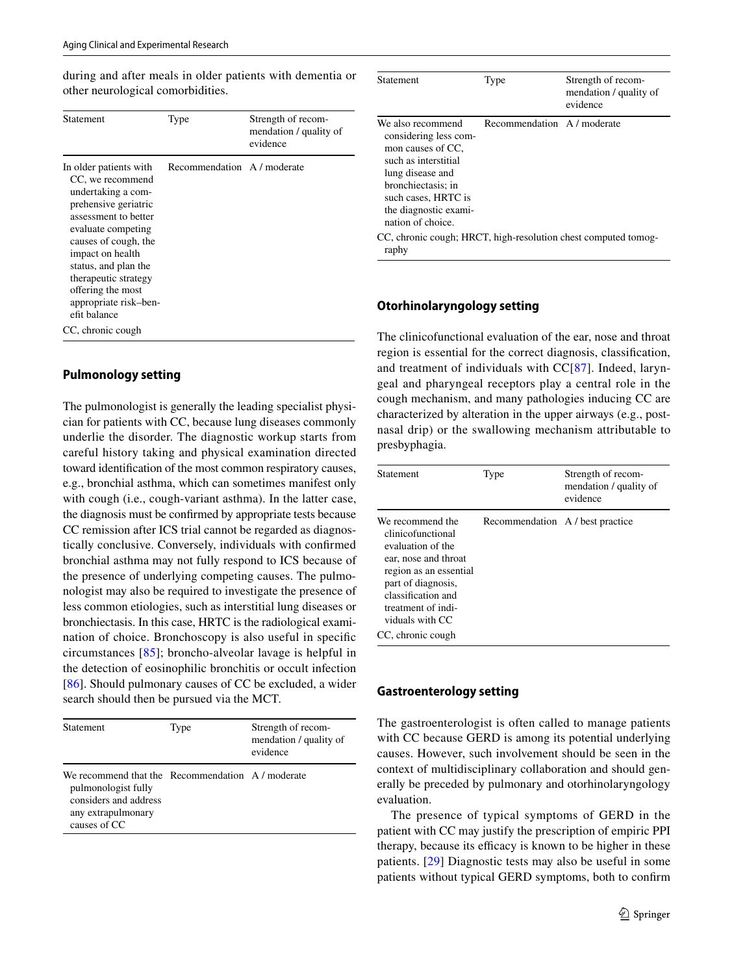during and after meals in older patients with dementia or other neurological comorbidities.

| Statement                                                                                                                                                                                                                                                                                                             | Type                        | Strength of recom-<br>mendation / quality of<br>evidence |
|-----------------------------------------------------------------------------------------------------------------------------------------------------------------------------------------------------------------------------------------------------------------------------------------------------------------------|-----------------------------|----------------------------------------------------------|
| In older patients with<br>CC, we recommend<br>undertaking a com-<br>prehensive geriatric<br>assessment to better<br>evaluate competing<br>causes of cough, the<br>impact on health<br>status, and plan the<br>therapeutic strategy<br>offering the most<br>appropriate risk-ben-<br>efit balance<br>CC, chronic cough | Recommendation A / moderate |                                                          |

# **Pulmonology setting**

The pulmonologist is generally the leading specialist physician for patients with CC, because lung diseases commonly underlie the disorder. The diagnostic workup starts from careful history taking and physical examination directed toward identifcation of the most common respiratory causes, e.g., bronchial asthma, which can sometimes manifest only with cough (i.e., cough-variant asthma). In the latter case, the diagnosis must be confrmed by appropriate tests because CC remission after ICS trial cannot be regarded as diagnostically conclusive. Conversely, individuals with confrmed bronchial asthma may not fully respond to ICS because of the presence of underlying competing causes. The pulmonologist may also be required to investigate the presence of less common etiologies, such as interstitial lung diseases or bronchiectasis. In this case, HRTC is the radiological examination of choice. Bronchoscopy is also useful in specifc circumstances [\[85\]](#page-21-21); broncho-alveolar lavage is helpful in the detection of eosinophilic bronchitis or occult infection [\[86\]](#page-21-22). Should pulmonary causes of CC be excluded, a wider search should then be pursued via the MCT.

| <b>Statement</b>                                                                                                                      | Type | Strength of recom-<br>mendation / quality of<br>evidence |
|---------------------------------------------------------------------------------------------------------------------------------------|------|----------------------------------------------------------|
| We recommend that the Recommendation A/moderate<br>pulmonologist fully<br>considers and address<br>any extrapulmonary<br>causes of CC |      |                                                          |

| Statement                                                                                                                                                                                              | Type                        | Strength of recom-<br>mendation / quality of<br>evidence |
|--------------------------------------------------------------------------------------------------------------------------------------------------------------------------------------------------------|-----------------------------|----------------------------------------------------------|
| We also recommend<br>considering less com-<br>mon causes of CC.<br>such as interstitial<br>lung disease and<br>bronchiectasis: in<br>such cases, HRTC is<br>the diagnostic exami-<br>nation of choice. | Recommendation A / moderate |                                                          |
| CC, chronic cough; HRCT, high-resolution chest computed tomog-<br>raphy                                                                                                                                |                             |                                                          |

### **Otorhinolaryngology setting**

The clinicofunctional evaluation of the ear, nose and throat region is essential for the correct diagnosis, classifcation, and treatment of individuals with CC[[87](#page-21-23)]. Indeed, laryngeal and pharyngeal receptors play a central role in the cough mechanism, and many pathologies inducing CC are characterized by alteration in the upper airways (e.g., postnasal drip) or the swallowing mechanism attributable to presbyphagia.

| Statement                                                                                                                                                                                                              | Type                             | Strength of recom-<br>mendation / quality of<br>evidence |
|------------------------------------------------------------------------------------------------------------------------------------------------------------------------------------------------------------------------|----------------------------------|----------------------------------------------------------|
| We recommend the<br>clinicofunctional<br>evaluation of the<br>ear, nose and throat<br>region as an essential<br>part of diagnosis,<br>classification and<br>treatment of indi-<br>viduals with CC<br>CC, chronic cough | Recommendation A / best practice |                                                          |

#### **Gastroenterology setting**

The gastroenterologist is often called to manage patients with CC because GERD is among its potential underlying causes. However, such involvement should be seen in the context of multidisciplinary collaboration and should generally be preceded by pulmonary and otorhinolaryngology evaluation.

The presence of typical symptoms of GERD in the patient with CC may justify the prescription of empiric PPI therapy, because its efficacy is known to be higher in these patients. [[29](#page-20-1)] Diagnostic tests may also be useful in some patients without typical GERD symptoms, both to confrm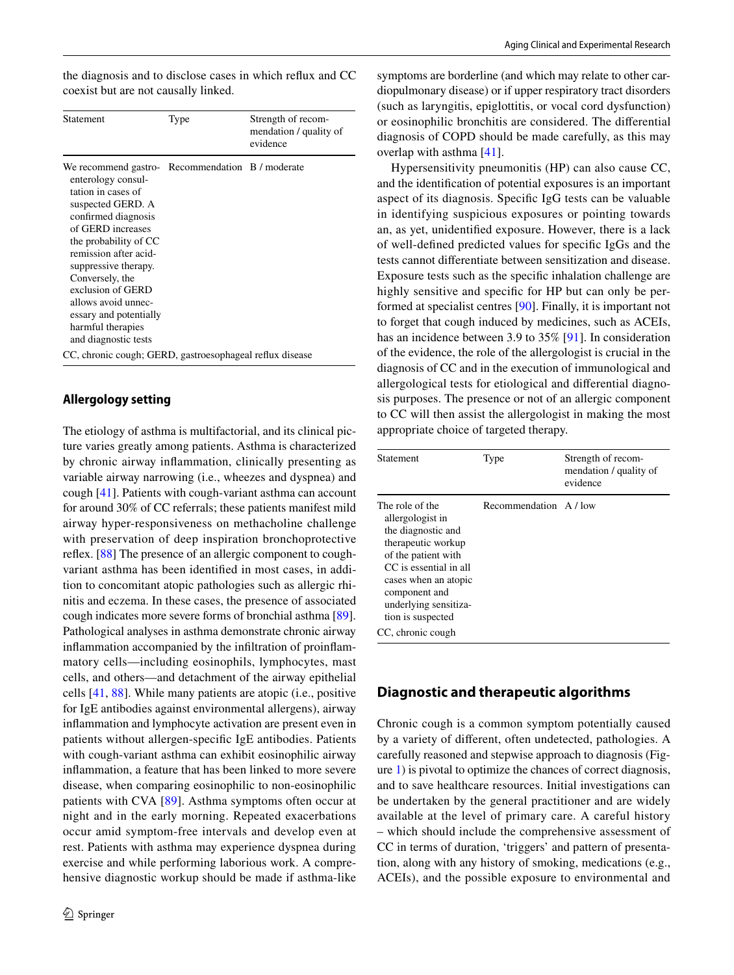| Statement                                                                                                                                                                                                                                                                                                                                                                     | Type | Strength of recom-<br>mendation / quality of<br>evidence |
|-------------------------------------------------------------------------------------------------------------------------------------------------------------------------------------------------------------------------------------------------------------------------------------------------------------------------------------------------------------------------------|------|----------------------------------------------------------|
| We recommend gastro- Recommendation B / moderate<br>enterology consul-<br>tation in cases of<br>suspected GERD. A<br>confirmed diagnosis<br>of GERD increases<br>the probability of CC<br>remission after acid-<br>suppressive therapy.<br>Conversely, the<br>exclusion of GERD<br>allows avoid unnec-<br>essary and potentially<br>harmful therapies<br>and diagnostic tests |      |                                                          |
| CC, chronic cough; GERD, gastroesophageal reflux disease                                                                                                                                                                                                                                                                                                                      |      |                                                          |

# **Allergology setting**

The etiology of asthma is multifactorial, and its clinical picture varies greatly among patients. Asthma is characterized by chronic airway infammation, clinically presenting as variable airway narrowing (i.e., wheezes and dyspnea) and cough [\[41](#page-20-13)]. Patients with cough-variant asthma can account for around 30% of CC referrals; these patients manifest mild airway hyper-responsiveness on methacholine challenge with preservation of deep inspiration bronchoprotective reflex. [\[88](#page-21-24)] The presence of an allergic component to coughvariant asthma has been identifed in most cases, in addition to concomitant atopic pathologies such as allergic rhinitis and eczema. In these cases, the presence of associated cough indicates more severe forms of bronchial asthma [\[89](#page-21-25)]. Pathological analyses in asthma demonstrate chronic airway infammation accompanied by the infltration of proinfammatory cells—including eosinophils, lymphocytes, mast cells, and others—and detachment of the airway epithelial cells [\[41,](#page-20-13) [88\]](#page-21-24). While many patients are atopic (i.e., positive for IgE antibodies against environmental allergens), airway infammation and lymphocyte activation are present even in patients without allergen-specifc IgE antibodies. Patients with cough-variant asthma can exhibit eosinophilic airway infammation, a feature that has been linked to more severe disease, when comparing eosinophilic to non-eosinophilic patients with CVA [[89\]](#page-21-25). Asthma symptoms often occur at night and in the early morning. Repeated exacerbations occur amid symptom-free intervals and develop even at rest. Patients with asthma may experience dyspnea during exercise and while performing laborious work. A comprehensive diagnostic workup should be made if asthma-like symptoms are borderline (and which may relate to other cardiopulmonary disease) or if upper respiratory tract disorders (such as laryngitis, epiglottitis, or vocal cord dysfunction) or eosinophilic bronchitis are considered. The diferential diagnosis of COPD should be made carefully, as this may overlap with asthma [\[41](#page-20-13)].

Hypersensitivity pneumonitis (HP) can also cause CC, and the identifcation of potential exposures is an important aspect of its diagnosis. Specifc IgG tests can be valuable in identifying suspicious exposures or pointing towards an, as yet, unidentifed exposure. However, there is a lack of well-defned predicted values for specifc IgGs and the tests cannot diferentiate between sensitization and disease. Exposure tests such as the specifc inhalation challenge are highly sensitive and specific for HP but can only be performed at specialist centres [\[90](#page-21-26)]. Finally, it is important not to forget that cough induced by medicines, such as ACEIs, has an incidence between 3.9 to 35% [\[91](#page-21-27)]. In consideration of the evidence, the role of the allergologist is crucial in the diagnosis of CC and in the execution of immunological and allergological tests for etiological and diferential diagnosis purposes. The presence or not of an allergic component to CC will then assist the allergologist in making the most appropriate choice of targeted therapy.

| Statement                                                                                                                                                                                                               | Type                   | Strength of recom-<br>mendation / quality of<br>evidence |
|-------------------------------------------------------------------------------------------------------------------------------------------------------------------------------------------------------------------------|------------------------|----------------------------------------------------------|
| The role of the<br>allergologist in<br>the diagnostic and<br>therapeutic workup<br>of the patient with<br>CC is essential in all<br>cases when an atopic<br>component and<br>underlying sensitiza-<br>tion is suspected | Recommendation A / low |                                                          |
| CC, chronic cough                                                                                                                                                                                                       |                        |                                                          |

# **Diagnostic and therapeutic algorithms**

Chronic cough is a common symptom potentially caused by a variety of diferent, often undetected, pathologies. A carefully reasoned and stepwise approach to diagnosis (Figure [1\)](#page-16-0) is pivotal to optimize the chances of correct diagnosis, and to save healthcare resources. Initial investigations can be undertaken by the general practitioner and are widely available at the level of primary care. A careful history – which should include the comprehensive assessment of CC in terms of duration, 'triggers' and pattern of presentation, along with any history of smoking, medications (e.g., ACEIs), and the possible exposure to environmental and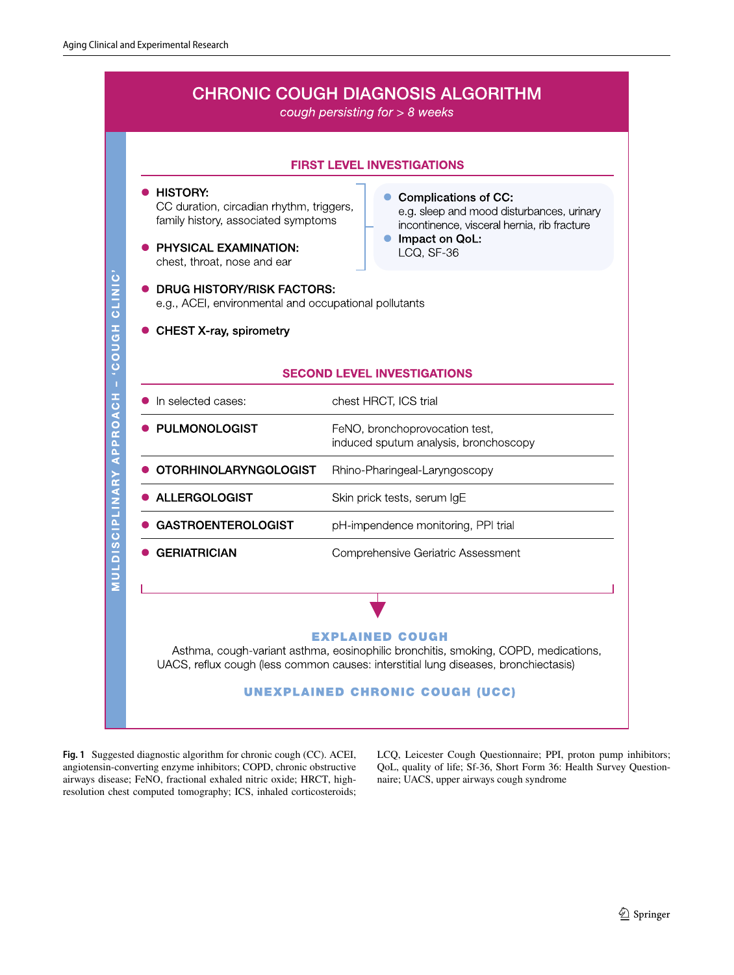

<span id="page-16-0"></span>**Fig. 1** Suggested diagnostic algorithm for chronic cough (CC). ACEI, angiotensin-converting enzyme inhibitors; COPD, chronic obstructive airways disease; FeNO, fractional exhaled nitric oxide; HRCT, highresolution chest computed tomography; ICS, inhaled corticosteroids;

LCQ, Leicester Cough Questionnaire; PPI, proton pump inhibitors; QoL, quality of life; Sf-36, Short Form 36: Health Survey Questionnaire; UACS, upper airways cough syndrome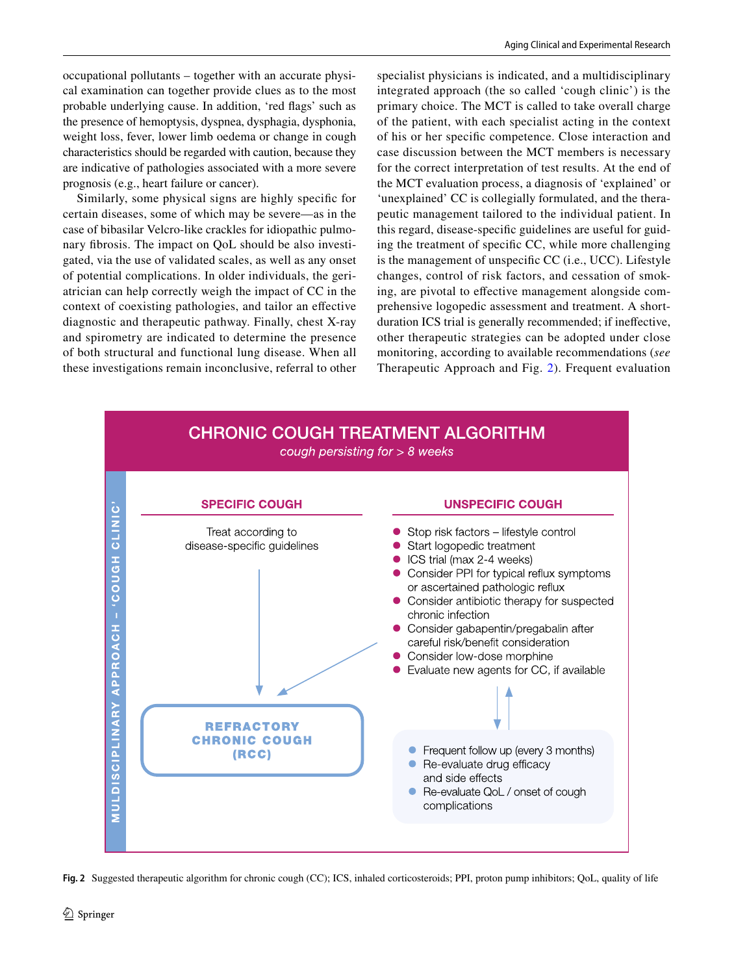prognosis (e.g., heart failure or cancer). Similarly, some physical signs are highly specifc for certain diseases, some of which may be severe—as in the case of bibasilar Velcro-like crackles for idiopathic pulmonary fbrosis. The impact on QoL should be also investigated, via the use of validated scales, as well as any onset of potential complications. In older individuals, the geriatrician can help correctly weigh the impact of CC in the context of coexisting pathologies, and tailor an efective diagnostic and therapeutic pathway. Finally, chest X-ray and spirometry are indicated to determine the presence of both structural and functional lung disease. When all these investigations remain inconclusive, referral to other

are indicative of pathologies associated with a more severe

specialist physicians is indicated, and a multidisciplinary integrated approach (the so called 'cough clinic') is the primary choice. The MCT is called to take overall charge of the patient, with each specialist acting in the context of his or her specifc competence. Close interaction and case discussion between the MCT members is necessary for the correct interpretation of test results. At the end of the MCT evaluation process, a diagnosis of 'explained' or 'unexplained' CC is collegially formulated, and the therapeutic management tailored to the individual patient. In this regard, disease-specifc guidelines are useful for guiding the treatment of specifc CC, while more challenging is the management of unspecific CC (i.e., UCC). Lifestyle changes, control of risk factors, and cessation of smoking, are pivotal to efective management alongside comprehensive logopedic assessment and treatment. A shortduration ICS trial is generally recommended; if inefective, other therapeutic strategies can be adopted under close monitoring, according to available recommendations (*see* Therapeutic Approach and Fig. [2\)](#page-17-0). Frequent evaluation



<span id="page-17-0"></span>**Fig. 2** Suggested therapeutic algorithm for chronic cough (CC); ICS, inhaled corticosteroids; PPI, proton pump inhibitors; QoL, quality of life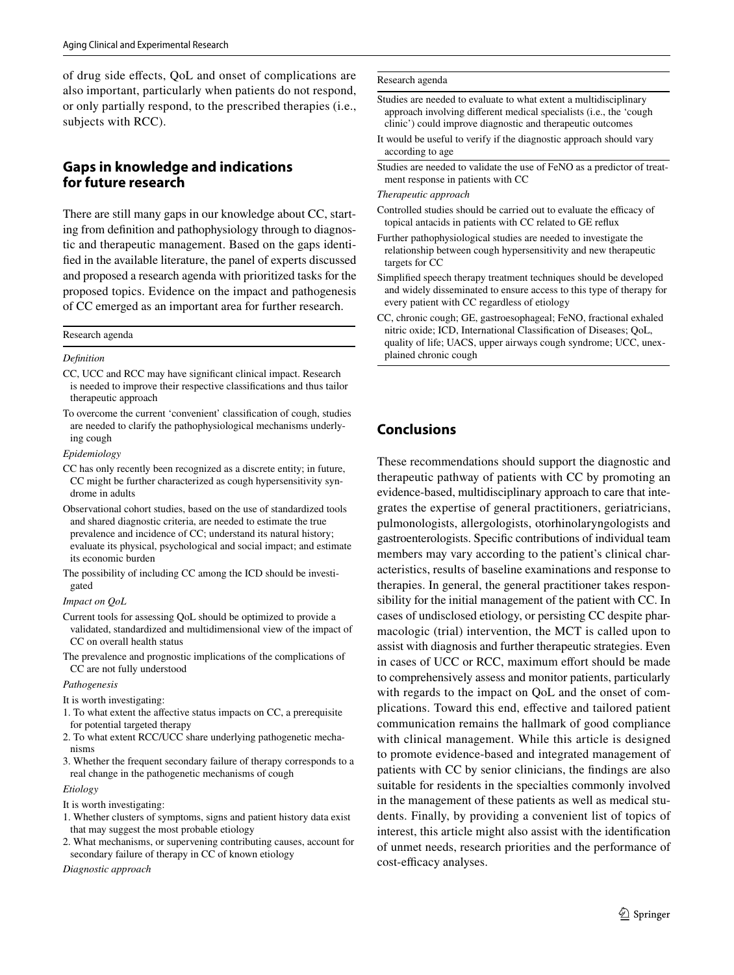of drug side efects, QoL and onset of complications are also important, particularly when patients do not respond, or only partially respond, to the prescribed therapies (i.e., subjects with RCC).

# **Gaps in knowledge and indications for future research**

There are still many gaps in our knowledge about CC, starting from defnition and pathophysiology through to diagnostic and therapeutic management. Based on the gaps identifed in the available literature, the panel of experts discussed and proposed a research agenda with prioritized tasks for the proposed topics. Evidence on the impact and pathogenesis of CC emerged as an important area for further research.

#### Research agenda

#### *Defnition*

- CC, UCC and RCC may have signifcant clinical impact. Research is needed to improve their respective classifcations and thus tailor therapeutic approach
- To overcome the current 'convenient' classifcation of cough, studies are needed to clarify the pathophysiological mechanisms underlying cough

#### *Epidemiology*

- CC has only recently been recognized as a discrete entity; in future, CC might be further characterized as cough hypersensitivity syndrome in adults
- Observational cohort studies, based on the use of standardized tools and shared diagnostic criteria, are needed to estimate the true prevalence and incidence of CC; understand its natural history; evaluate its physical, psychological and social impact; and estimate its economic burden
- The possibility of including CC among the ICD should be investigated

#### *Impact on QoL*

- Current tools for assessing QoL should be optimized to provide a validated, standardized and multidimensional view of the impact of CC on overall health status
- The prevalence and prognostic implications of the complications of CC are not fully understood

#### *Pathogenesis*

- It is worth investigating:
- 1. To what extent the afective status impacts on CC, a prerequisite for potential targeted therapy
- 2. To what extent RCC/UCC share underlying pathogenetic mechanisms
- 3. Whether the frequent secondary failure of therapy corresponds to a real change in the pathogenetic mechanisms of cough

#### *Etiology*

- It is worth investigating:
- 1. Whether clusters of symptoms, signs and patient history data exist that may suggest the most probable etiology
- 2. What mechanisms, or supervening contributing causes, account for secondary failure of therapy in CC of known etiology

*Diagnostic approach*

#### Research agenda

- Studies are needed to evaluate to what extent a multidisciplinary approach involving diferent medical specialists (i.e., the 'cough clinic') could improve diagnostic and therapeutic outcomes
- It would be useful to verify if the diagnostic approach should vary according to age
- Studies are needed to validate the use of FeNO as a predictor of treatment response in patients with CC

#### *Therapeutic approach*

- Controlled studies should be carried out to evaluate the efficacy of topical antacids in patients with CC related to GE refux
- Further pathophysiological studies are needed to investigate the relationship between cough hypersensitivity and new therapeutic targets for CC
- Simplifed speech therapy treatment techniques should be developed and widely disseminated to ensure access to this type of therapy for every patient with CC regardless of etiology
- CC, chronic cough; GE, gastroesophageal; FeNO, fractional exhaled nitric oxide; ICD, International Classifcation of Diseases; QoL, quality of life; UACS, upper airways cough syndrome; UCC, unexplained chronic cough

# **Conclusions**

These recommendations should support the diagnostic and therapeutic pathway of patients with CC by promoting an evidence-based, multidisciplinary approach to care that integrates the expertise of general practitioners, geriatricians, pulmonologists, allergologists, otorhinolaryngologists and gastroenterologists. Specifc contributions of individual team members may vary according to the patient's clinical characteristics, results of baseline examinations and response to therapies. In general, the general practitioner takes responsibility for the initial management of the patient with CC. In cases of undisclosed etiology, or persisting CC despite pharmacologic (trial) intervention, the MCT is called upon to assist with diagnosis and further therapeutic strategies. Even in cases of UCC or RCC, maximum effort should be made to comprehensively assess and monitor patients, particularly with regards to the impact on QoL and the onset of complications. Toward this end, efective and tailored patient communication remains the hallmark of good compliance with clinical management. While this article is designed to promote evidence-based and integrated management of patients with CC by senior clinicians, the fndings are also suitable for residents in the specialties commonly involved in the management of these patients as well as medical students. Finally, by providing a convenient list of topics of interest, this article might also assist with the identifcation of unmet needs, research priorities and the performance of cost-efficacy analyses.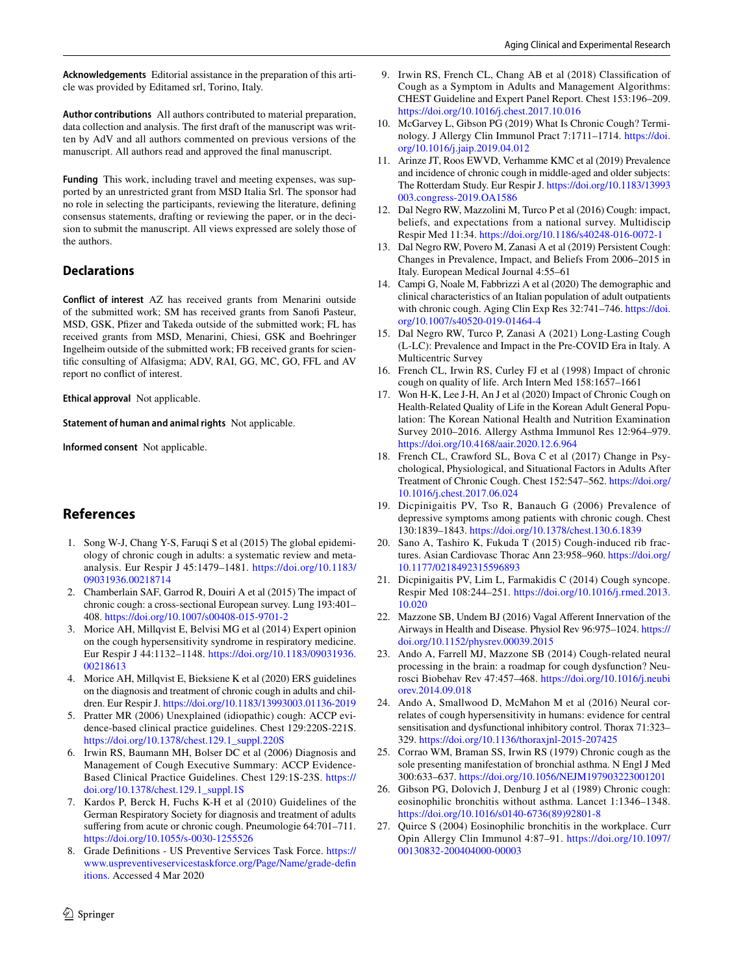**Acknowledgements** Editorial assistance in the preparation of this article was provided by Editamed srl, Torino, Italy.

**Author contributions** All authors contributed to material preparation, data collection and analysis. The frst draft of the manuscript was written by AdV and all authors commented on previous versions of the manuscript. All authors read and approved the fnal manuscript.

**Funding** This work, including travel and meeting expenses, was supported by an unrestricted grant from MSD Italia Srl. The sponsor had no role in selecting the participants, reviewing the literature, defning consensus statements, drafting or reviewing the paper, or in the decision to submit the manuscript. All views expressed are solely those of the authors.

# **Declarations**

**Conflict of interest** AZ has received grants from Menarini outside of the submitted work; SM has received grants from Sanof Pasteur, MSD, GSK, Pfzer and Takeda outside of the submitted work; FL has received grants from MSD, Menarini, Chiesi, GSK and Boehringer Ingelheim outside of the submitted work; FB received grants for scientifc consulting of Alfasigma; ADV, RAI, GG, MC, GO, FFL and AV report no confict of interest.

**Ethical approval** Not applicable.

**Statement of human and animal rights** Not applicable.

**Informed consent** Not applicable.

# **References**

- <span id="page-19-0"></span>1. Song W-J, Chang Y-S, Faruqi S et al (2015) The global epidemiology of chronic cough in adults: a systematic review and metaanalysis. Eur Respir J 45:1479–1481. [https://doi.org/10.1183/](https://doi.org/10.1183/09031936.00218714) [09031936.00218714](https://doi.org/10.1183/09031936.00218714)
- <span id="page-19-1"></span>2. Chamberlain SAF, Garrod R, Douiri A et al (2015) The impact of chronic cough: a cross-sectional European survey. Lung 193:401– 408.<https://doi.org/10.1007/s00408-015-9701-2>
- <span id="page-19-2"></span>3. Morice AH, Millqvist E, Belvisi MG et al (2014) Expert opinion on the cough hypersensitivity syndrome in respiratory medicine. Eur Respir J 44:1132–1148. [https://doi.org/10.1183/09031936.](https://doi.org/10.1183/09031936.00218613) [00218613](https://doi.org/10.1183/09031936.00218613)
- <span id="page-19-24"></span>4. Morice AH, Millqvist E, Bieksiene K et al (2020) ERS guidelines on the diagnosis and treatment of chronic cough in adults and children. Eur Respir J.<https://doi.org/10.1183/13993003.01136-2019>
- <span id="page-19-7"></span>5. Pratter MR (2006) Unexplained (idiopathic) cough: ACCP evidence-based clinical practice guidelines. Chest 129:220S-221S. [https://doi.org/10.1378/chest.129.1\\_suppl.220S](https://doi.org/10.1378/chest.129.1_suppl.220S)
- <span id="page-19-23"></span>6. Irwin RS, Baumann MH, Bolser DC et al (2006) Diagnosis and Management of Cough Executive Summary: ACCP Evidence-Based Clinical Practice Guidelines. Chest 129:1S-23S. [https://](https://doi.org/10.1378/chest.129.1_suppl.1S) [doi.org/10.1378/chest.129.1\\_suppl.1S](https://doi.org/10.1378/chest.129.1_suppl.1S)
- <span id="page-19-3"></span>7. Kardos P, Berck H, Fuchs K-H et al (2010) Guidelines of the German Respiratory Society for diagnosis and treatment of adults sufering from acute or chronic cough. Pneumologie 64:701–711. <https://doi.org/10.1055/s-0030-1255526>
- <span id="page-19-4"></span>8. Grade Defnitions - US Preventive Services Task Force. [https://](https://www.uspreventiveservicestaskforce.org/Page/Name/grade-definitions) [www.uspreventiveservicestaskforce.org/Page/Name/grade-defn](https://www.uspreventiveservicestaskforce.org/Page/Name/grade-definitions) [itions](https://www.uspreventiveservicestaskforce.org/Page/Name/grade-definitions). Accessed 4 Mar 2020
- <span id="page-19-5"></span>9. Irwin RS, French CL, Chang AB et al (2018) Classifcation of Cough as a Symptom in Adults and Management Algorithms: CHEST Guideline and Expert Panel Report. Chest 153:196–209. <https://doi.org/10.1016/j.chest.2017.10.016>
- <span id="page-19-6"></span>10. McGarvey L, Gibson PG (2019) What Is Chronic Cough? Terminology. J Allergy Clin Immunol Pract 7:1711–1714. [https://doi.](https://doi.org/10.1016/j.jaip.2019.04.012) [org/10.1016/j.jaip.2019.04.012](https://doi.org/10.1016/j.jaip.2019.04.012)
- <span id="page-19-8"></span>11. Arinze JT, Roos EWVD, Verhamme KMC et al (2019) Prevalence and incidence of chronic cough in middle-aged and older subjects: The Rotterdam Study. Eur Respir J. [https://doi.org/10.1183/13993](https://doi.org/10.1183/13993003.congress-2019.OA1586) [003.congress-2019.OA1586](https://doi.org/10.1183/13993003.congress-2019.OA1586)
- <span id="page-19-9"></span>12. Dal Negro RW, Mazzolini M, Turco P et al (2016) Cough: impact, beliefs, and expectations from a national survey. Multidiscip Respir Med 11:34.<https://doi.org/10.1186/s40248-016-0072-1>
- <span id="page-19-10"></span>13. Dal Negro RW, Povero M, Zanasi A et al (2019) Persistent Cough: Changes in Prevalence, Impact, and Beliefs From 2006–2015 in Italy. European Medical Journal 4:55–61
- <span id="page-19-11"></span>14. Campi G, Noale M, Fabbrizzi A et al (2020) The demographic and clinical characteristics of an Italian population of adult outpatients with chronic cough. Aging Clin Exp Res 32:741–746. [https://doi.](https://doi.org/10.1007/s40520-019-01464-4) [org/10.1007/s40520-019-01464-4](https://doi.org/10.1007/s40520-019-01464-4)
- <span id="page-19-12"></span>15. Dal Negro RW, Turco P, Zanasi A (2021) Long-Lasting Cough (L-LC): Prevalence and Impact in the Pre-COVID Era in Italy. A Multicentric Survey
- <span id="page-19-13"></span>16. French CL, Irwin RS, Curley FJ et al (1998) Impact of chronic cough on quality of life. Arch Intern Med 158:1657–1661
- <span id="page-19-14"></span>17. Won H-K, Lee J-H, An J et al (2020) Impact of Chronic Cough on Health-Related Quality of Life in the Korean Adult General Population: The Korean National Health and Nutrition Examination Survey 2010–2016. Allergy Asthma Immunol Res 12:964–979. <https://doi.org/10.4168/aair.2020.12.6.964>
- <span id="page-19-15"></span>18. French CL, Crawford SL, Bova C et al (2017) Change in Psychological, Physiological, and Situational Factors in Adults After Treatment of Chronic Cough. Chest 152:547–562. [https://doi.org/](https://doi.org/10.1016/j.chest.2017.06.024) [10.1016/j.chest.2017.06.024](https://doi.org/10.1016/j.chest.2017.06.024)
- 19. Dicpinigaitis PV, Tso R, Banauch G (2006) Prevalence of depressive symptoms among patients with chronic cough. Chest 130:1839–1843.<https://doi.org/10.1378/chest.130.6.1839>
- 20. Sano A, Tashiro K, Fukuda T (2015) Cough-induced rib fractures. Asian Cardiovasc Thorac Ann 23:958–960. [https://doi.org/](https://doi.org/10.1177/0218492315596893) [10.1177/0218492315596893](https://doi.org/10.1177/0218492315596893)
- <span id="page-19-16"></span>21. Dicpinigaitis PV, Lim L, Farmakidis C (2014) Cough syncope. Respir Med 108:244–251. [https://doi.org/10.1016/j.rmed.2013.](https://doi.org/10.1016/j.rmed.2013.10.020) [10.020](https://doi.org/10.1016/j.rmed.2013.10.020)
- <span id="page-19-17"></span>22. Mazzone SB, Undem BJ (2016) Vagal Aferent Innervation of the Airways in Health and Disease. Physiol Rev 96:975–1024. [https://](https://doi.org/10.1152/physrev.00039.2015) [doi.org/10.1152/physrev.00039.2015](https://doi.org/10.1152/physrev.00039.2015)
- <span id="page-19-18"></span>23. Ando A, Farrell MJ, Mazzone SB (2014) Cough-related neural processing in the brain: a roadmap for cough dysfunction? Neurosci Biobehav Rev 47:457–468. [https://doi.org/10.1016/j.neubi](https://doi.org/10.1016/j.neubiorev.2014.09.018) [orev.2014.09.018](https://doi.org/10.1016/j.neubiorev.2014.09.018)
- <span id="page-19-19"></span>24. Ando A, Smallwood D, McMahon M et al (2016) Neural correlates of cough hypersensitivity in humans: evidence for central sensitisation and dysfunctional inhibitory control. Thorax 71:323– 329.<https://doi.org/10.1136/thoraxjnl-2015-207425>
- <span id="page-19-20"></span>25. Corrao WM, Braman SS, Irwin RS (1979) Chronic cough as the sole presenting manifestation of bronchial asthma. N Engl J Med 300:633–637. <https://doi.org/10.1056/NEJM197903223001201>
- <span id="page-19-21"></span>26. Gibson PG, Dolovich J, Denburg J et al (1989) Chronic cough: eosinophilic bronchitis without asthma. Lancet 1:1346–1348. [https://doi.org/10.1016/s0140-6736\(89\)92801-8](https://doi.org/10.1016/s0140-6736(89)92801-8)
- <span id="page-19-22"></span>27. Quirce S (2004) Eosinophilic bronchitis in the workplace. Curr Opin Allergy Clin Immunol 4:87–91. [https://doi.org/10.1097/](https://doi.org/10.1097/00130832-200404000-00003) [00130832-200404000-00003](https://doi.org/10.1097/00130832-200404000-00003)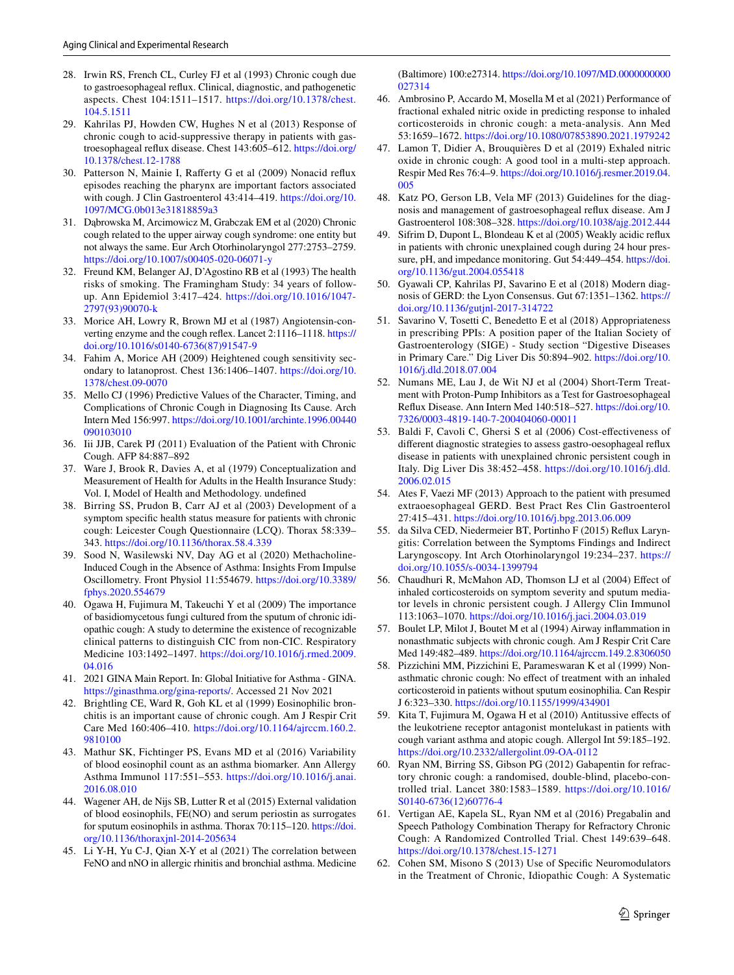- <span id="page-20-0"></span>28. Irwin RS, French CL, Curley FJ et al (1993) Chronic cough due to gastroesophageal refux. Clinical, diagnostic, and pathogenetic aspects. Chest 104:1511–1517. [https://doi.org/10.1378/chest.](https://doi.org/10.1378/chest.104.5.1511) [104.5.1511](https://doi.org/10.1378/chest.104.5.1511)
- <span id="page-20-1"></span>29. Kahrilas PJ, Howden CW, Hughes N et al (2013) Response of chronic cough to acid-suppressive therapy in patients with gastroesophageal refux disease. Chest 143:605–612. [https://doi.org/](https://doi.org/10.1378/chest.12-1788) [10.1378/chest.12-1788](https://doi.org/10.1378/chest.12-1788)
- <span id="page-20-2"></span>30. Patterson N, Mainie I, Raferty G et al (2009) Nonacid refux episodes reaching the pharynx are important factors associated with cough. J Clin Gastroenterol 43:414–419. [https://doi.org/10.](https://doi.org/10.1097/MCG.0b013e31818859a3) [1097/MCG.0b013e31818859a3](https://doi.org/10.1097/MCG.0b013e31818859a3)
- <span id="page-20-3"></span>31. Dąbrowska M, Arcimowicz M, Grabczak EM et al (2020) Chronic cough related to the upper airway cough syndrome: one entity but not always the same. Eur Arch Otorhinolaryngol 277:2753–2759. <https://doi.org/10.1007/s00405-020-06071-y>
- <span id="page-20-4"></span>32. Freund KM, Belanger AJ, D'Agostino RB et al (1993) The health risks of smoking. The Framingham Study: 34 years of followup. Ann Epidemiol 3:417–424. [https://doi.org/10.1016/1047-](https://doi.org/10.1016/1047-2797(93)90070-k) [2797\(93\)90070-k](https://doi.org/10.1016/1047-2797(93)90070-k)
- <span id="page-20-5"></span>33. Morice AH, Lowry R, Brown MJ et al (1987) Angiotensin-converting enzyme and the cough refex. Lancet 2:1116–1118. [https://](https://doi.org/10.1016/s0140-6736(87)91547-9) [doi.org/10.1016/s0140-6736\(87\)91547-9](https://doi.org/10.1016/s0140-6736(87)91547-9)
- <span id="page-20-6"></span>34. Fahim A, Morice AH (2009) Heightened cough sensitivity secondary to latanoprost. Chest 136:1406–1407. [https://doi.org/10.](https://doi.org/10.1378/chest.09-0070) [1378/chest.09-0070](https://doi.org/10.1378/chest.09-0070)
- <span id="page-20-7"></span>35. Mello CJ (1996) Predictive Values of the Character, Timing, and Complications of Chronic Cough in Diagnosing Its Cause. Arch Intern Med 156:997. [https://doi.org/10.1001/archinte.1996.00440](https://doi.org/10.1001/archinte.1996.00440090103010) [090103010](https://doi.org/10.1001/archinte.1996.00440090103010)
- <span id="page-20-8"></span>36. Iii JJB, Carek PJ (2011) Evaluation of the Patient with Chronic Cough. AFP 84:887–892
- <span id="page-20-9"></span>37. Ware J, Brook R, Davies A, et al (1979) Conceptualization and Measurement of Health for Adults in the Health Insurance Study: Vol. I, Model of Health and Methodology. undefned
- <span id="page-20-10"></span>38. Birring SS, Prudon B, Carr AJ et al (2003) Development of a symptom specifc health status measure for patients with chronic cough: Leicester Cough Questionnaire (LCQ). Thorax 58:339– 343.<https://doi.org/10.1136/thorax.58.4.339>
- <span id="page-20-11"></span>39. Sood N, Wasilewski NV, Day AG et al (2020) Methacholine-Induced Cough in the Absence of Asthma: Insights From Impulse Oscillometry. Front Physiol 11:554679. [https://doi.org/10.3389/](https://doi.org/10.3389/fphys.2020.554679) [fphys.2020.554679](https://doi.org/10.3389/fphys.2020.554679)
- <span id="page-20-12"></span>40. Ogawa H, Fujimura M, Takeuchi Y et al (2009) The importance of basidiomycetous fungi cultured from the sputum of chronic idiopathic cough: A study to determine the existence of recognizable clinical patterns to distinguish CIC from non-CIC. Respiratory Medicine 103:1492–1497. [https://doi.org/10.1016/j.rmed.2009.](https://doi.org/10.1016/j.rmed.2009.04.016) [04.016](https://doi.org/10.1016/j.rmed.2009.04.016)
- <span id="page-20-13"></span>41. 2021 GINA Main Report. In: Global Initiative for Asthma - GINA. <https://ginasthma.org/gina-reports/>. Accessed 21 Nov 2021
- <span id="page-20-14"></span>42. Brightling CE, Ward R, Goh KL et al (1999) Eosinophilic bronchitis is an important cause of chronic cough. Am J Respir Crit Care Med 160:406–410. [https://doi.org/10.1164/ajrccm.160.2.](https://doi.org/10.1164/ajrccm.160.2.9810100) [9810100](https://doi.org/10.1164/ajrccm.160.2.9810100)
- <span id="page-20-15"></span>43. Mathur SK, Fichtinger PS, Evans MD et al (2016) Variability of blood eosinophil count as an asthma biomarker. Ann Allergy Asthma Immunol 117:551–553. [https://doi.org/10.1016/j.anai.](https://doi.org/10.1016/j.anai.2016.08.010) [2016.08.010](https://doi.org/10.1016/j.anai.2016.08.010)
- <span id="page-20-16"></span>44. Wagener AH, de Nijs SB, Lutter R et al (2015) External validation of blood eosinophils, FE(NO) and serum periostin as surrogates for sputum eosinophils in asthma. Thorax 70:115–120. [https://doi.](https://doi.org/10.1136/thoraxjnl-2014-205634) [org/10.1136/thoraxjnl-2014-205634](https://doi.org/10.1136/thoraxjnl-2014-205634)
- <span id="page-20-17"></span>45. Li Y-H, Yu C-J, Qian X-Y et al (2021) The correlation between FeNO and nNO in allergic rhinitis and bronchial asthma. Medicine

(Baltimore) 100:e27314. [https://doi.org/10.1097/MD.0000000000](https://doi.org/10.1097/MD.0000000000027314) [027314](https://doi.org/10.1097/MD.0000000000027314)

- <span id="page-20-18"></span>46. Ambrosino P, Accardo M, Mosella M et al (2021) Performance of fractional exhaled nitric oxide in predicting response to inhaled corticosteroids in chronic cough: a meta-analysis. Ann Med 53:1659–1672.<https://doi.org/10.1080/07853890.2021.1979242>
- <span id="page-20-19"></span>47. Lamon T, Didier A, Brouquières D et al (2019) Exhaled nitric oxide in chronic cough: A good tool in a multi-step approach. Respir Med Res 76:4–9. [https://doi.org/10.1016/j.resmer.2019.04.](https://doi.org/10.1016/j.resmer.2019.04.005) [005](https://doi.org/10.1016/j.resmer.2019.04.005)
- <span id="page-20-20"></span>48. Katz PO, Gerson LB, Vela MF (2013) Guidelines for the diagnosis and management of gastroesophageal refux disease. Am J Gastroenterol 108:308–328.<https://doi.org/10.1038/ajg.2012.444>
- <span id="page-20-21"></span>49. Sifrim D, Dupont L, Blondeau K et al (2005) Weakly acidic refux in patients with chronic unexplained cough during 24 hour pressure, pH, and impedance monitoring. Gut 54:449–454. [https://doi.](https://doi.org/10.1136/gut.2004.055418) [org/10.1136/gut.2004.055418](https://doi.org/10.1136/gut.2004.055418)
- <span id="page-20-22"></span>50. Gyawali CP, Kahrilas PJ, Savarino E et al (2018) Modern diagnosis of GERD: the Lyon Consensus. Gut 67:1351–1362. [https://](https://doi.org/10.1136/gutjnl-2017-314722) [doi.org/10.1136/gutjnl-2017-314722](https://doi.org/10.1136/gutjnl-2017-314722)
- <span id="page-20-23"></span>51. Savarino V, Tosetti C, Benedetto E et al (2018) Appropriateness in prescribing PPIs: A position paper of the Italian Society of Gastroenterology (SIGE) - Study section "Digestive Diseases in Primary Care." Dig Liver Dis 50:894–902. [https://doi.org/10.](https://doi.org/10.1016/j.dld.2018.07.004) [1016/j.dld.2018.07.004](https://doi.org/10.1016/j.dld.2018.07.004)
- <span id="page-20-24"></span>52. Numans ME, Lau J, de Wit NJ et al (2004) Short-Term Treatment with Proton-Pump Inhibitors as a Test for Gastroesophageal Refux Disease. Ann Intern Med 140:518–527. [https://doi.org/10.](https://doi.org/10.7326/0003-4819-140-7-200404060-00011) [7326/0003-4819-140-7-200404060-00011](https://doi.org/10.7326/0003-4819-140-7-200404060-00011)
- <span id="page-20-25"></span>53. Baldi F, Cavoli C, Ghersi S et al (2006) Cost-efectiveness of diferent diagnostic strategies to assess gastro-oesophageal refux disease in patients with unexplained chronic persistent cough in Italy. Dig Liver Dis 38:452–458. [https://doi.org/10.1016/j.dld.](https://doi.org/10.1016/j.dld.2006.02.015) [2006.02.015](https://doi.org/10.1016/j.dld.2006.02.015)
- <span id="page-20-26"></span>54. Ates F, Vaezi MF (2013) Approach to the patient with presumed extraoesophageal GERD. Best Pract Res Clin Gastroenterol 27:415–431.<https://doi.org/10.1016/j.bpg.2013.06.009>
- <span id="page-20-27"></span>55. da Silva CED, Niedermeier BT, Portinho F (2015) Refux Laryngitis: Correlation between the Symptoms Findings and Indirect Laryngoscopy. Int Arch Otorhinolaryngol 19:234–237. [https://](https://doi.org/10.1055/s-0034-1399794) [doi.org/10.1055/s-0034-1399794](https://doi.org/10.1055/s-0034-1399794)
- <span id="page-20-28"></span>56. Chaudhuri R, McMahon AD, Thomson LJ et al (2004) Efect of inhaled corticosteroids on symptom severity and sputum mediator levels in chronic persistent cough. J Allergy Clin Immunol 113:1063–1070.<https://doi.org/10.1016/j.jaci.2004.03.019>
- <span id="page-20-29"></span>57. Boulet LP, Milot J, Boutet M et al (1994) Airway infammation in nonasthmatic subjects with chronic cough. Am J Respir Crit Care Med 149:482–489.<https://doi.org/10.1164/ajrccm.149.2.8306050>
- <span id="page-20-30"></span>58. Pizzichini MM, Pizzichini E, Parameswaran K et al (1999) Nonasthmatic chronic cough: No efect of treatment with an inhaled corticosteroid in patients without sputum eosinophilia. Can Respir J 6:323–330.<https://doi.org/10.1155/1999/434901>
- <span id="page-20-31"></span>59. Kita T, Fujimura M, Ogawa H et al (2010) Antitussive efects of the leukotriene receptor antagonist montelukast in patients with cough variant asthma and atopic cough. Allergol Int 59:185–192. <https://doi.org/10.2332/allergolint.09-OA-0112>
- <span id="page-20-32"></span>60. Ryan NM, Birring SS, Gibson PG (2012) Gabapentin for refractory chronic cough: a randomised, double-blind, placebo-controlled trial. Lancet 380:1583–1589. [https://doi.org/10.1016/](https://doi.org/10.1016/S0140-6736(12)60776-4) [S0140-6736\(12\)60776-4](https://doi.org/10.1016/S0140-6736(12)60776-4)
- <span id="page-20-33"></span>61. Vertigan AE, Kapela SL, Ryan NM et al (2016) Pregabalin and Speech Pathology Combination Therapy for Refractory Chronic Cough: A Randomized Controlled Trial. Chest 149:639–648. <https://doi.org/10.1378/chest.15-1271>
- <span id="page-20-34"></span>62. Cohen SM, Misono S (2013) Use of Specifc Neuromodulators in the Treatment of Chronic, Idiopathic Cough: A Systematic